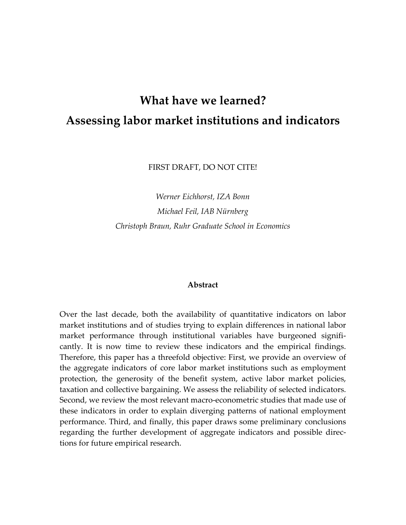# **What have we learned? Assessing labor market institutions and indicators**

FIRST DRAFT, DO NOT CITE!

*Werner Eichhorst, IZA Bonn Michael Feil, IAB Nürnberg Christoph Braun, Ruhr Graduate School in Economics*

#### **Abstract**

Over the last decade, both the availability of quantitative indicators on labor market institutions and of studies trying to explain differences in national labor market performance through institutional variables have burgeoned signifi‐ cantly. It is now time to review these indicators and the empirical findings. Therefore, this paper has a threefold objective: First, we provide an overview of the aggregate indicators of core labor market institutions such as employment protection, the generosity of the benefit system, active labor market policies, taxation and collective bargaining. We assess the reliability of selected indicators. Second, we review the most relevant macro‐econometric studies that made use of these indicators in order to explain diverging patterns of national employment performance. Third, and finally, this paper draws some preliminary conclusions regarding the further development of aggregate indicators and possible direc‐ tions for future empirical research.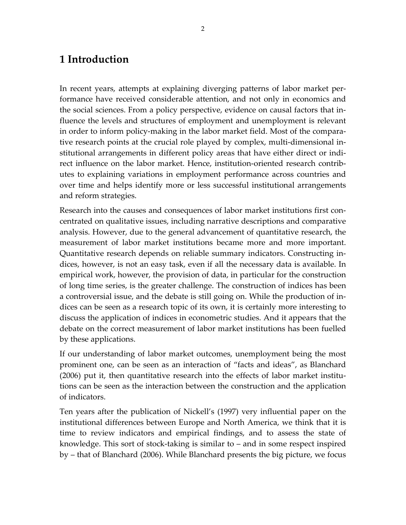### **1 Introduction**

In recent years, attempts at explaining diverging patterns of labor market per‐ formance have received considerable attention, and not only in economics and the social sciences. From a policy perspective, evidence on causal factors that in‐ fluence the levels and structures of employment and unemployment is relevant in order to inform policy‐making in the labor market field. Most of the compara‐ tive research points at the crucial role played by complex, multi-dimensional institutional arrangements in different policy areas that have either direct or indi‐ rect influence on the labor market. Hence, institution‐oriented research contrib‐ utes to explaining variations in employment performance across countries and over time and helps identify more or less successful institutional arrangements and reform strategies.

Research into the causes and consequences of labor market institutions first con‐ centrated on qualitative issues, including narrative descriptions and comparative analysis. However, due to the general advancement of quantitative research, the measurement of labor market institutions became more and more important. Quantitative research depends on reliable summary indicators. Constructing in‐ dices, however, is not an easy task, even if all the necessary data is available. In empirical work, however, the provision of data, in particular for the construction of long time series, is the greater challenge. The construction of indices has been a controversial issue, and the debate is still going on. While the production of in‐ dices can be seen as a research topic of its own, it is certainly more interesting to discuss the application of indices in econometric studies. And it appears that the debate on the correct measurement of labor market institutions has been fuelled by these applications.

If our understanding of labor market outcomes, unemployment being the most prominent one, can be seen as an interaction of "facts and ideas", as Blanchard (2006) put it, then quantitative research into the effects of labor market institu‐ tions can be seen as the interaction between the construction and the application of indicators.

Ten years after the publication of Nickell's (1997) very influential paper on the institutional differences between Europe and North America, we think that it is time to review indicators and empirical findings, and to assess the state of knowledge. This sort of stock‐taking is similar to – and in some respect inspired by – that of Blanchard (2006). While Blanchard presents the big picture, we focus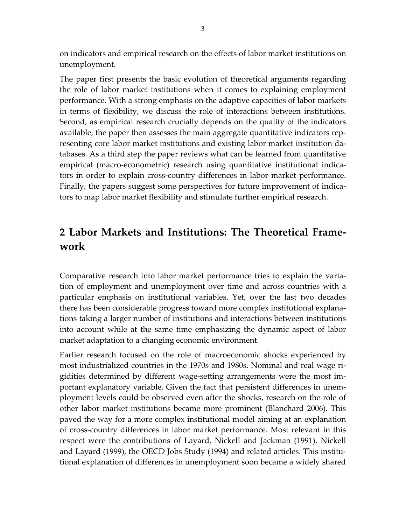on indicators and empirical research on the effects of labor market institutions on unemployment.

The paper first presents the basic evolution of theoretical arguments regarding the role of labor market institutions when it comes to explaining employment performance. With a strong emphasis on the adaptive capacities of labor markets in terms of flexibility, we discuss the role of interactions between institutions. Second, as empirical research crucially depends on the quality of the indicators available, the paper then assesses the main aggregate quantitative indicators rep‐ resenting core labor market institutions and existing labor market institution da‐ tabases. As a third step the paper reviews what can be learned from quantitative empirical (macro‐econometric) research using quantitative institutional indica‐ tors in order to explain cross‐country differences in labor market performance. Finally, the papers suggest some perspectives for future improvement of indica‐ tors to map labor market flexibility and stimulate further empirical research.

# **2 Labor Markets and Institutions: The Theoretical Frame‐ work**

Comparative research into labor market performance tries to explain the varia‐ tion of employment and unemployment over time and across countries with a particular emphasis on institutional variables. Yet, over the last two decades there has been considerable progress toward more complex institutional explana‐ tions taking a larger number of institutions and interactions between institutions into account while at the same time emphasizing the dynamic aspect of labor market adaptation to a changing economic environment.

Earlier research focused on the role of macroeconomic shocks experienced by most industrialized countries in the 1970s and 1980s. Nominal and real wage ri‐ gidities determined by different wage‐setting arrangements were the most im‐ portant explanatory variable. Given the fact that persistent differences in unem‐ ployment levels could be observed even after the shocks, research on the role of other labor market institutions became more prominent (Blanchard 2006). This paved the way for a more complex institutional model aiming at an explanation of cross‐country differences in labor market performance. Most relevant in this respect were the contributions of Layard, Nickell and Jackman (1991), Nickell and Layard (1999), the OECD Jobs Study (1994) and related articles. This institu‐ tional explanation of differences in unemployment soon became a widely shared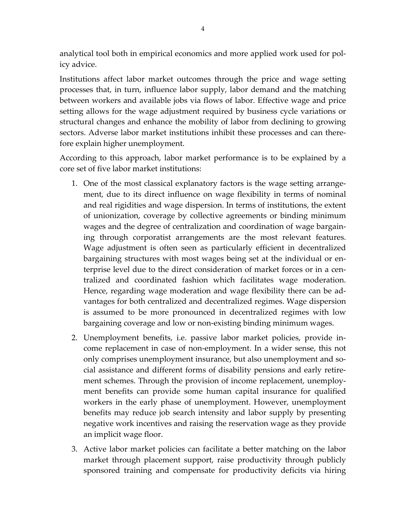analytical tool both in empirical economics and more applied work used for pol‐ icy advice.

Institutions affect labor market outcomes through the price and wage setting processes that, in turn, influence labor supply, labor demand and the matching between workers and available jobs via flows of labor. Effective wage and price setting allows for the wage adjustment required by business cycle variations or structural changes and enhance the mobility of labor from declining to growing sectors. Adverse labor market institutions inhibit these processes and can therefore explain higher unemployment.

According to this approach, labor market performance is to be explained by a core set of five labor market institutions:

- 1. One of the most classical explanatory factors is the wage setting arrange‐ ment, due to its direct influence on wage flexibility in terms of nominal and real rigidities and wage dispersion. In terms of institutions, the extent of unionization, coverage by collective agreements or binding minimum wages and the degree of centralization and coordination of wage bargain‐ ing through corporatist arrangements are the most relevant features. Wage adjustment is often seen as particularly efficient in decentralized bargaining structures with most wages being set at the individual or en‐ terprise level due to the direct consideration of market forces or in a cen‐ tralized and coordinated fashion which facilitates wage moderation. Hence, regarding wage moderation and wage flexibility there can be ad‐ vantages for both centralized and decentralized regimes. Wage dispersion is assumed to be more pronounced in decentralized regimes with low bargaining coverage and low or non‐existing binding minimum wages.
- 2. Unemployment benefits, i.e. passive labor market policies, provide in‐ come replacement in case of non‐employment. In a wider sense, this not only comprises unemployment insurance, but also unemployment and social assistance and different forms of disability pensions and early retire‐ ment schemes. Through the provision of income replacement, unemployment benefits can provide some human capital insurance for qualified workers in the early phase of unemployment. However, unemployment benefits may reduce job search intensity and labor supply by presenting negative work incentives and raising the reservation wage as they provide an implicit wage floor.
- 3. Active labor market policies can facilitate a better matching on the labor market through placement support, raise productivity through publicly sponsored training and compensate for productivity deficits via hiring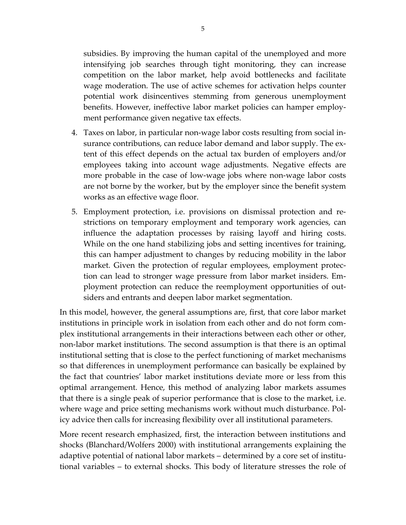subsidies. By improving the human capital of the unemployed and more intensifying job searches through tight monitoring, they can increase competition on the labor market, help avoid bottlenecks and facilitate wage moderation. The use of active schemes for activation helps counter potential work disincentives stemming from generous unemployment benefits. However, ineffective labor market policies can hamper employ‐ ment performance given negative tax effects.

- 4. Taxes on labor, in particular non‐wage labor costs resulting from social in‐ surance contributions, can reduce labor demand and labor supply. The extent of this effect depends on the actual tax burden of employers and/or employees taking into account wage adjustments. Negative effects are more probable in the case of low-wage jobs where non-wage labor costs are not borne by the worker, but by the employer since the benefit system works as an effective wage floor.
- 5. Employment protection, i.e. provisions on dismissal protection and re‐ strictions on temporary employment and temporary work agencies, can influence the adaptation processes by raising layoff and hiring costs. While on the one hand stabilizing jobs and setting incentives for training, this can hamper adjustment to changes by reducing mobility in the labor market. Given the protection of regular employees, employment protection can lead to stronger wage pressure from labor market insiders. Em‐ ployment protection can reduce the reemployment opportunities of out‐ siders and entrants and deepen labor market segmentation.

In this model, however, the general assumptions are, first, that core labor market institutions in principle work in isolation from each other and do not form com‐ plex institutional arrangements in their interactions between each other or other, non-labor market institutions. The second assumption is that there is an optimal institutional setting that is close to the perfect functioning of market mechanisms so that differences in unemployment performance can basically be explained by the fact that countries' labor market institutions deviate more or less from this optimal arrangement. Hence, this method of analyzing labor markets assumes that there is a single peak of superior performance that is close to the market, i.e. where wage and price setting mechanisms work without much disturbance. Policy advice then calls for increasing flexibility over all institutional parameters.

More recent research emphasized, first, the interaction between institutions and shocks (Blanchard/Wolfers 2000) with institutional arrangements explaining the adaptive potential of national labor markets – determined by a core set of institu‐ tional variables – to external shocks. This body of literature stresses the role of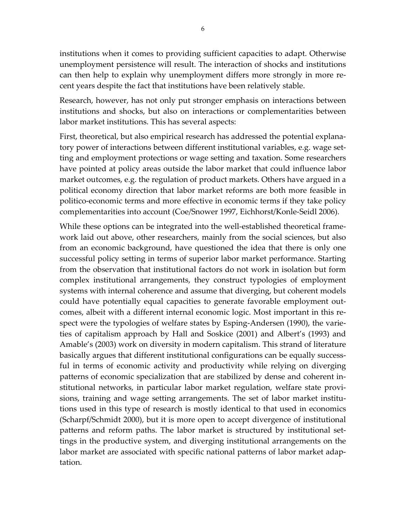institutions when it comes to providing sufficient capacities to adapt. Otherwise unemployment persistence will result. The interaction of shocks and institutions can then help to explain why unemployment differs more strongly in more re‐ cent years despite the fact that institutions have been relatively stable.

Research, however, has not only put stronger emphasis on interactions between institutions and shocks, but also on interactions or complementarities between labor market institutions. This has several aspects:

First, theoretical, but also empirical research has addressed the potential explana‐ tory power of interactions between different institutional variables, e.g. wage set‐ ting and employment protections or wage setting and taxation. Some researchers have pointed at policy areas outside the labor market that could influence labor market outcomes, e.g. the regulation of product markets. Others have argued in a political economy direction that labor market reforms are both more feasible in politico‐economic terms and more effective in economic terms if they take policy complementarities into account (Coe/Snower 1997, Eichhorst/Konle‐Seidl 2006).

While these options can be integrated into the well-established theoretical framework laid out above, other researchers, mainly from the social sciences, but also from an economic background, have questioned the idea that there is only one successful policy setting in terms of superior labor market performance. Starting from the observation that institutional factors do not work in isolation but form complex institutional arrangements, they construct typologies of employment systems with internal coherence and assume that diverging, but coherent models could have potentially equal capacities to generate favorable employment out‐ comes, albeit with a different internal economic logic. Most important in this re‐ spect were the typologies of welfare states by Esping‐Andersen (1990), the varie‐ ties of capitalism approach by Hall and Soskice (2001) and Albert's (1993) and Amable's (2003) work on diversity in modern capitalism. This strand of literature basically argues that different institutional configurations can be equally success‐ ful in terms of economic activity and productivity while relying on diverging patterns of economic specialization that are stabilized by dense and coherent in‐ stitutional networks, in particular labor market regulation, welfare state provi‐ sions, training and wage setting arrangements. The set of labor market institu‐ tions used in this type of research is mostly identical to that used in economics (Scharpf/Schmidt 2000), but it is more open to accept divergence of institutional patterns and reform paths. The labor market is structured by institutional set‐ tings in the productive system, and diverging institutional arrangements on the labor market are associated with specific national patterns of labor market adaptation.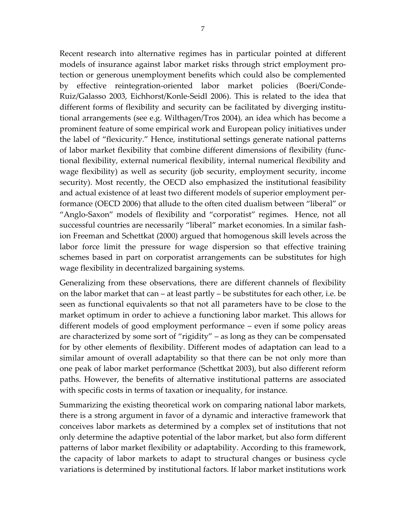Recent research into alternative regimes has in particular pointed at different models of insurance against labor market risks through strict employment pro‐ tection or generous unemployment benefits which could also be complemented by effective reintegration‐oriented labor market policies (Boeri/Conde‐ Ruiz/Galasso 2003, Eichhorst/Konle‐Seidl 2006). This is related to the idea that different forms of flexibility and security can be facilitated by diverging institu‐ tional arrangements (see e.g. Wilthagen/Tros 2004), an idea which has become a prominent feature of some empirical work and European policy initiatives under the label of "flexicurity." Hence, institutional settings generate national patterns of labor market flexibility that combine different dimensions of flexibility (func‐ tional flexibility, external numerical flexibility, internal numerical flexibility and wage flexibility) as well as security (job security, employment security, income security). Most recently, the OECD also emphasized the institutional feasibility and actual existence of at least two different models of superior employment per‐ formance (OECD 2006) that allude to the often cited dualism between "liberal" or "Anglo‐Saxon" models of flexibility and "corporatist" regimes. Hence, not all successful countries are necessarily "liberal" market economies. In a similar fash‐ ion Freeman and Schettkat (2000) argued that homogenous skill levels across the labor force limit the pressure for wage dispersion so that effective training schemes based in part on corporatist arrangements can be substitutes for high wage flexibility in decentralized bargaining systems.

Generalizing from these observations, there are different channels of flexibility on the labor market that can – at least partly – be substitutes for each other, i.e. be seen as functional equivalents so that not all parameters have to be close to the market optimum in order to achieve a functioning labor market. This allows for different models of good employment performance – even if some policy areas are characterized by some sort of "rigidity" – as long as they can be compensated for by other elements of flexibility. Different modes of adaptation can lead to a similar amount of overall adaptability so that there can be not only more than one peak of labor market performance (Schettkat 2003), but also different reform paths. However, the benefits of alternative institutional patterns are associated with specific costs in terms of taxation or inequality, for instance.

Summarizing the existing theoretical work on comparing national labor markets, there is a strong argument in favor of a dynamic and interactive framework that conceives labor markets as determined by a complex set of institutions that not only determine the adaptive potential of the labor market, but also form different patterns of labor market flexibility or adaptability. According to this framework, the capacity of labor markets to adapt to structural changes or business cycle variations is determined by institutional factors. If labor market institutions work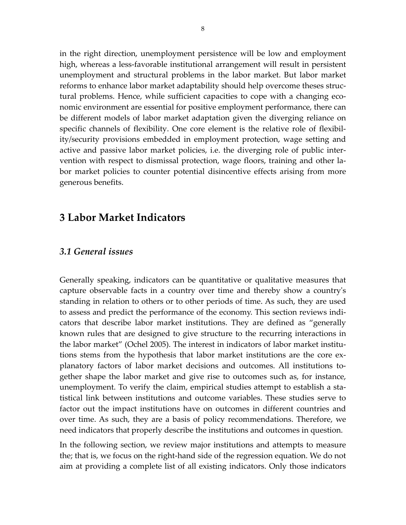in the right direction, unemployment persistence will be low and employment high, whereas a less‐favorable institutional arrangement will result in persistent unemployment and structural problems in the labor market. But labor market reforms to enhance labor market adaptability should help overcome theses struc‐ tural problems. Hence, while sufficient capacities to cope with a changing eco‐ nomic environment are essential for positive employment performance, there can be different models of labor market adaptation given the diverging reliance on specific channels of flexibility. One core element is the relative role of flexibility/security provisions embedded in employment protection, wage setting and active and passive labor market policies, i.e. the diverging role of public inter‐ vention with respect to dismissal protection, wage floors, training and other la‐ bor market policies to counter potential disincentive effects arising from more generous benefits.

### **3 Labor Market Indicators**

#### *3.1 General issues*

Generally speaking, indicators can be quantitative or qualitative measures that capture observable facts in a country over time and thereby show a countryʹs standing in relation to others or to other periods of time. As such, they are used to assess and predict the performance of the economy. This section reviews indi‐ cators that describe labor market institutions. They are defined as "generally known rules that are designed to give structure to the recurring interactions in the labor market" (Ochel 2005). The interest in indicators of labor market institu‐ tions stems from the hypothesis that labor market institutions are the core ex‐ planatory factors of labor market decisions and outcomes. All institutions to‐ gether shape the labor market and give rise to outcomes such as, for instance, unemployment. To verify the claim, empirical studies attempt to establish a sta‐ tistical link between institutions and outcome variables. These studies serve to factor out the impact institutions have on outcomes in different countries and over time. As such, they are a basis of policy recommendations. Therefore, we need indicators that properly describe the institutions and outcomes in question.

In the following section, we review major institutions and attempts to measure the; that is, we focus on the right‐hand side of the regression equation. We do not aim at providing a complete list of all existing indicators. Only those indicators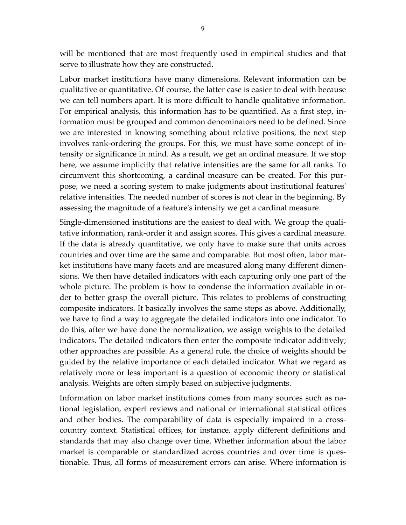will be mentioned that are most frequently used in empirical studies and that serve to illustrate how they are constructed.

Labor market institutions have many dimensions. Relevant information can be qualitative or quantitative. Of course, the latter case is easier to deal with because we can tell numbers apart. It is more difficult to handle qualitative information. For empirical analysis, this information has to be quantified. As a first step, in‐ formation must be grouped and common denominators need to be defined. Since we are interested in knowing something about relative positions, the next step involves rank‐ordering the groups. For this, we must have some concept of in‐ tensity or significance in mind. As a result, we get an ordinal measure. If we stop here, we assume implicitly that relative intensities are the same for all ranks. To circumvent this shortcoming, a cardinal measure can be created. For this pur‐ pose, we need a scoring system to make judgments about institutional featuresʹ relative intensities. The needed number of scores is not clear in the beginning. By assessing the magnitude of a featureʹs intensity we get a cardinal measure.

Single-dimensioned institutions are the easiest to deal with. We group the qualitative information, rank‐order it and assign scores. This gives a cardinal measure. If the data is already quantitative, we only have to make sure that units across countries and over time are the same and comparable. But most often, labor mar‐ ket institutions have many facets and are measured along many different dimen‐ sions. We then have detailed indicators with each capturing only one part of the whole picture. The problem is how to condense the information available in order to better grasp the overall picture. This relates to problems of constructing composite indicators. It basically involves the same steps as above. Additionally, we have to find a way to aggregate the detailed indicators into one indicator. To do this, after we have done the normalization, we assign weights to the detailed indicators. The detailed indicators then enter the composite indicator additively; other approaches are possible. As a general rule, the choice of weights should be guided by the relative importance of each detailed indicator. What we regard as relatively more or less important is a question of economic theory or statistical analysis. Weights are often simply based on subjective judgments.

Information on labor market institutions comes from many sources such as na‐ tional legislation, expert reviews and national or international statistical offices and other bodies. The comparability of data is especially impaired in a cross‐ country context. Statistical offices, for instance, apply different definitions and standards that may also change over time. Whether information about the labor market is comparable or standardized across countries and over time is questionable. Thus, all forms of measurement errors can arise. Where information is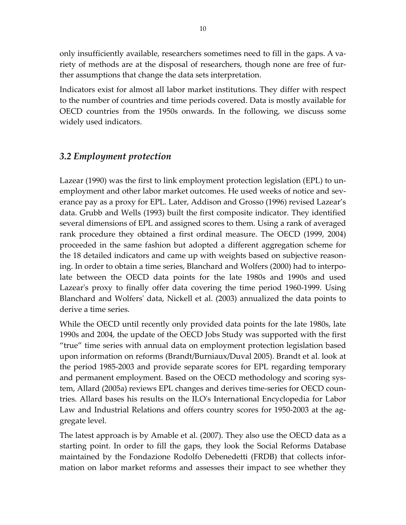only insufficiently available, researchers sometimes need to fill in the gaps. A va‐ riety of methods are at the disposal of researchers, though none are free of further assumptions that change the data sets interpretation.

Indicators exist for almost all labor market institutions. They differ with respect to the number of countries and time periods covered. Data is mostly available for OECD countries from the 1950s onwards. In the following, we discuss some widely used indicators.

#### *3.2 Employment protection*

Lazear (1990) was the first to link employment protection legislation (EPL) to un‐ employment and other labor market outcomes. He used weeks of notice and severance pay as a proxy for EPL. Later, Addison and Grosso (1996) revised Lazear's data. Grubb and Wells (1993) built the first composite indicator. They identified several dimensions of EPL and assigned scores to them. Using a rank of averaged rank procedure they obtained a first ordinal measure. The OECD (1999, 2004) proceeded in the same fashion but adopted a different aggregation scheme for the 18 detailed indicators and came up with weights based on subjective reason‐ ing. In order to obtain a time series, Blanchard and Wolfers (2000) had to interpo‐ late between the OECD data points for the late 1980s and 1990s and used Lazear's proxy to finally offer data covering the time period 1960–1999. Using Blanchard and Wolfersʹ data, Nickell et al. (2003) annualized the data points to derive a time series.

While the OECD until recently only provided data points for the late 1980s, late 1990s and 2004, the update of the OECD Jobs Study was supported with the first "true" time series with annual data on employment protection legislation based upon information on reforms (Brandt/Burniaux/Duval 2005). Brandt et al. look at the period 1985‐2003 and provide separate scores for EPL regarding temporary and permanent employment. Based on the OECD methodology and scoring sys‐ tem, Allard (2005a) reviews EPL changes and derives time‐series for OECD coun‐ tries. Allard bases his results on the ILOʹs International Encyclopedia for Labor Law and Industrial Relations and offers country scores for 1950‐2003 at the ag‐ gregate level.

The latest approach is by Amable et al. (2007). They also use the OECD data as a starting point. In order to fill the gaps, they look the Social Reforms Database maintained by the Fondazione Rodolfo Debenedetti (FRDB) that collects infor‐ mation on labor market reforms and assesses their impact to see whether they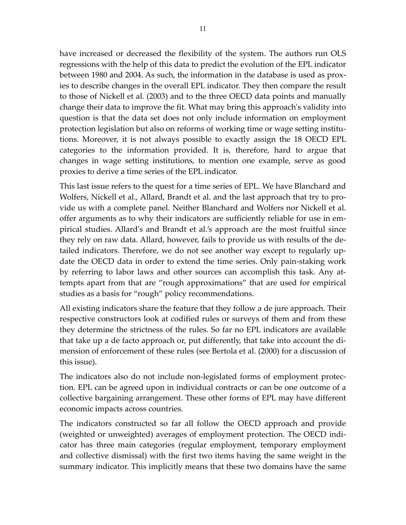have increased or decreased the flexibility of the system. The authors run OLS regressions with the help of this data to predict the evolution of the EPL indicator between 1980 and 2004. As such, the information in the database is used as prox‐ ies to describe changes in the overall EPL indicator. They then compare the result to those of Nickell et al. (2003) and to the three OECD data points and manually change their data to improve the fit. What may bring this approachʹs validity into question is that the data set does not only include information on employment protection legislation but also on reforms of working time or wage setting institu‐ tions. Moreover, it is not always possible to exactly assign the 18 OECD EPL categories to the information provided. It is, therefore, hard to argue that changes in wage setting institutions, to mention one example, serve as good proxies to derive a time series of the EPL indicator.

This last issue refers to the quest for a time series of EPL. We have Blanchard and Wolfers, Nickell et al., Allard, Brandt et al. and the last approach that try to pro‐ vide us with a complete panel. Neither Blanchard and Wolfers nor Nickell et al. offer arguments as to why their indicators are sufficiently reliable for use in em‐ pirical studies. Allardʹs and Brandt et al.'s approach are the most fruitful since they rely on raw data. Allard, however, fails to provide us with results of the de‐ tailed indicators. Therefore, we do not see another way except to regularly up‐ date the OECD data in order to extend the time series. Only pain‐staking work by referring to labor laws and other sources can accomplish this task. Any at‐ tempts apart from that are "rough approximations" that are used for empirical studies as a basis for "rough" policy recommendations.

All existing indicators share the feature that they follow a de jure approach. Their respective constructors look at codified rules or surveys of them and from these they determine the strictness of the rules. So far no EPL indicators are available that take up a de facto approach or, put differently, that take into account the di‐ mension of enforcement of these rules (see Bertola et al. (2000) for a discussion of this issue).

The indicators also do not include non‐legislated forms of employment protec‐ tion. EPL can be agreed upon in individual contracts or can be one outcome of a collective bargaining arrangement. These other forms of EPL may have different economic impacts across countries.

The indicators constructed so far all follow the OECD approach and provide (weighted or unweighted) averages of employment protection. The OECD indi‐ cator has three main categories (regular employment, temporary employment and collective dismissal) with the first two items having the same weight in the summary indicator. This implicitly means that these two domains have the same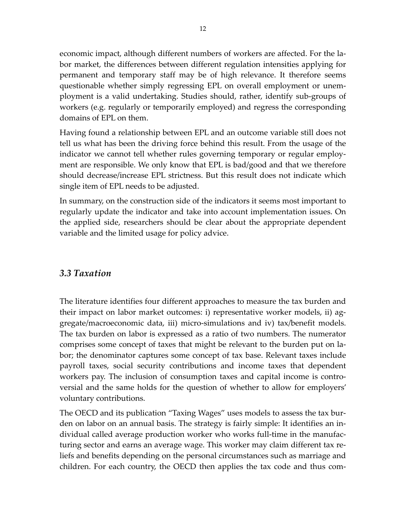economic impact, although different numbers of workers are affected. For the la‐ bor market, the differences between different regulation intensities applying for permanent and temporary staff may be of high relevance. It therefore seems questionable whether simply regressing EPL on overall employment or unem‐ ployment is a valid undertaking. Studies should, rather, identify sub‐groups of workers (e.g. regularly or temporarily employed) and regress the corresponding domains of EPL on them.

Having found a relationship between EPL and an outcome variable still does not tell us what has been the driving force behind this result. From the usage of the indicator we cannot tell whether rules governing temporary or regular employ‐ ment are responsible. We only know that EPL is bad/good and that we therefore should decrease/increase EPL strictness. But this result does not indicate which single item of EPL needs to be adjusted.

In summary, on the construction side of the indicators it seems most important to regularly update the indicator and take into account implementation issues. On the applied side, researchers should be clear about the appropriate dependent variable and the limited usage for policy advice.

#### *3.3 Taxation*

The literature identifies four different approaches to measure the tax burden and their impact on labor market outcomes: i) representative worker models, ii) ag‐ gregate/macroeconomic data, iii) micro‐simulations and iv) tax/benefit models. The tax burden on labor is expressed as a ratio of two numbers. The numerator comprises some concept of taxes that might be relevant to the burden put on la‐ bor; the denominator captures some concept of tax base. Relevant taxes include payroll taxes, social security contributions and income taxes that dependent workers pay. The inclusion of consumption taxes and capital income is contro versial and the same holds for the question of whether to allow for employers' voluntary contributions.

The OECD and its publication "Taxing Wages" uses models to assess the tax bur‐ den on labor on an annual basis. The strategy is fairly simple: It identifies an in‐ dividual called average production worker who works full‐time in the manufac‐ turing sector and earns an average wage. This worker may claim different tax re‐ liefs and benefits depending on the personal circumstances such as marriage and children. For each country, the OECD then applies the tax code and thus com‐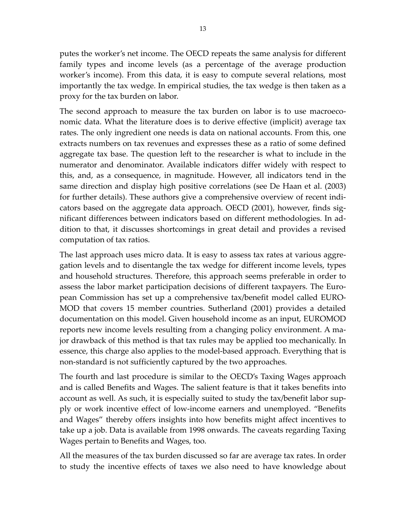putes the worker's net income. The OECD repeats the same analysis for different family types and income levels (as a percentage of the average production worker's income). From this data, it is easy to compute several relations, most importantly the tax wedge. In empirical studies, the tax wedge is then taken as a proxy for the tax burden on labor.

The second approach to measure the tax burden on labor is to use macroeconomic data. What the literature does is to derive effective (implicit) average tax rates. The only ingredient one needs is data on national accounts. From this, one extracts numbers on tax revenues and expresses these as a ratio of some defined aggregate tax base. The question left to the researcher is what to include in the numerator and denominator. Available indicators differ widely with respect to this, and, as a consequence, in magnitude. However, all indicators tend in the same direction and display high positive correlations (see De Haan et al. (2003) for further details). These authors give a comprehensive overview of recent indi‐ cators based on the aggregate data approach. OECD (2001), however, finds sig‐ nificant differences between indicators based on different methodologies. In ad‐ dition to that, it discusses shortcomings in great detail and provides a revised computation of tax ratios.

The last approach uses micro data. It is easy to assess tax rates at various aggregation levels and to disentangle the tax wedge for different income levels, types and household structures. Therefore, this approach seems preferable in order to assess the labor market participation decisions of different taxpayers. The Euro‐ pean Commission has set up a comprehensive tax/benefit model called EURO‐ MOD that covers 15 member countries. Sutherland (2001) provides a detailed documentation on this model. Given household income as an input, EUROMOD reports new income levels resulting from a changing policy environment. A ma‐ jor drawback of this method is that tax rules may be applied too mechanically. In essence, this charge also applies to the model‐based approach. Everything that is non‐standard is not sufficiently captured by the two approaches.

The fourth and last procedure is similar to the OECD's Taxing Wages approach and is called Benefits and Wages. The salient feature is that it takes benefits into account as well. As such, it is especially suited to study the tax/benefit labor sup‐ ply or work incentive effect of low‐income earners and unemployed. "Benefits and Wages" thereby offers insights into how benefits might affect incentives to take up a job. Data is available from 1998 onwards. The caveats regarding Taxing Wages pertain to Benefits and Wages, too.

All the measures of the tax burden discussed so far are average tax rates. In order to study the incentive effects of taxes we also need to have knowledge about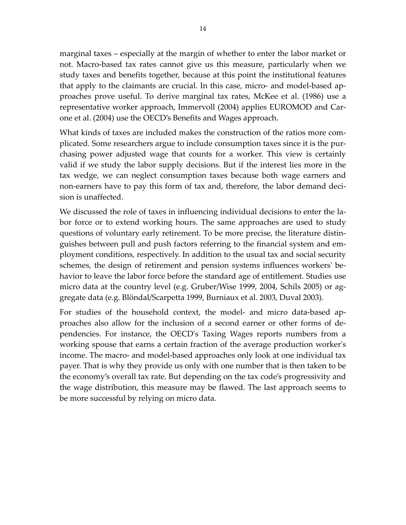marginal taxes – especially at the margin of whether to enter the labor market or not. Macro‐based tax rates cannot give us this measure, particularly when we study taxes and benefits together, because at this point the institutional features that apply to the claimants are crucial. In this case, micro‐ and model‐based ap‐ proaches prove useful. To derive marginal tax rates, McKee et al. (1986) use a representative worker approach, Immervoll (2004) applies EUROMOD and Car‐ one et al. (2004) use the OECD's Benefits and Wages approach.

What kinds of taxes are included makes the construction of the ratios more com‐ plicated. Some researchers argue to include consumption taxes since it is the pur‐ chasing power adjusted wage that counts for a worker. This view is certainly valid if we study the labor supply decisions. But if the interest lies more in the tax wedge, we can neglect consumption taxes because both wage earners and non-earners have to pay this form of tax and, therefore, the labor demand decision is unaffected.

We discussed the role of taxes in influencing individual decisions to enter the labor force or to extend working hours. The same approaches are used to study questions of voluntary early retirement. To be more precise, the literature distin‐ guishes between pull and push factors referring to the financial system and em‐ ployment conditions, respectively. In addition to the usual tax and social security schemes, the design of retirement and pension systems influences workers' behavior to leave the labor force before the standard age of entitlement. Studies use micro data at the country level (e.g. Gruber/Wise 1999, 2004, Schils 2005) or ag‐ gregate data (e.g. Blöndal/Scarpetta 1999, Burniaux et al. 2003, Duval 2003).

For studies of the household context, the model- and micro data-based approaches also allow for the inclusion of a second earner or other forms of de‐ pendencies. For instance, the OECDʹs Taxing Wages reports numbers from a working spouse that earns a certain fraction of the average production worker's income. The macro‐ and model‐based approaches only look at one individual tax payer. That is why they provide us only with one number that is then taken to be the economy's overall tax rate. But depending on the tax code's progressivity and the wage distribution, this measure may be flawed. The last approach seems to be more successful by relying on micro data.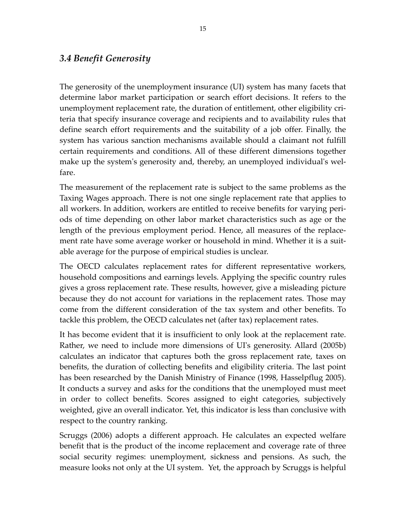#### *3.4 Benefit Generosity*

The generosity of the unemployment insurance (UI) system has many facets that determine labor market participation or search effort decisions. It refers to the unemployment replacement rate, the duration of entitlement, other eligibility criteria that specify insurance coverage and recipients and to availability rules that define search effort requirements and the suitability of a job offer. Finally, the system has various sanction mechanisms available should a claimant not fulfill certain requirements and conditions. All of these different dimensions together make up the system's generosity and, thereby, an unemployed individual's welfare.

The measurement of the replacement rate is subject to the same problems as the Taxing Wages approach. There is not one single replacement rate that applies to all workers. In addition, workers are entitled to receive benefits for varying peri‐ ods of time depending on other labor market characteristics such as age or the length of the previous employment period. Hence, all measures of the replace‐ ment rate have some average worker or household in mind. Whether it is a suitable average for the purpose of empirical studies is unclear.

The OECD calculates replacement rates for different representative workers, household compositions and earnings levels. Applying the specific country rules gives a gross replacement rate. These results, however, give a misleading picture because they do not account for variations in the replacement rates. Those may come from the different consideration of the tax system and other benefits. To tackle this problem, the OECD calculates net (after tax) replacement rates.

It has become evident that it is insufficient to only look at the replacement rate. Rather, we need to include more dimensions of UIʹs generosity. Allard (2005b) calculates an indicator that captures both the gross replacement rate, taxes on benefits, the duration of collecting benefits and eligibility criteria. The last point has been researched by the Danish Ministry of Finance (1998, Hasselpflug 2005). It conducts a survey and asks for the conditions that the unemployed must meet in order to collect benefits. Scores assigned to eight categories, subjectively weighted, give an overall indicator. Yet, this indicator is less than conclusive with respect to the country ranking.

Scruggs (2006) adopts a different approach. He calculates an expected welfare benefit that is the product of the income replacement and coverage rate of three social security regimes: unemployment, sickness and pensions. As such, the measure looks not only at the UI system. Yet, the approach by Scruggs is helpful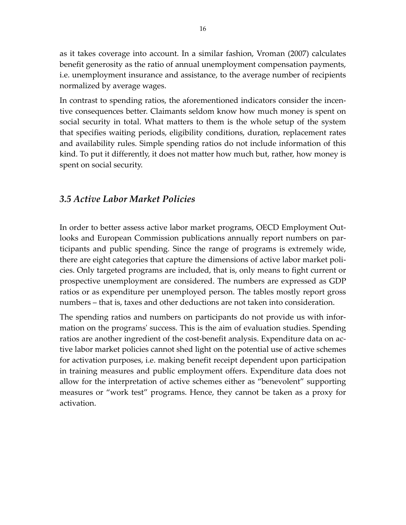as it takes coverage into account. In a similar fashion, Vroman (2007) calculates benefit generosity as the ratio of annual unemployment compensation payments, i.e. unemployment insurance and assistance, to the average number of recipients normalized by average wages.

In contrast to spending ratios, the aforementioned indicators consider the incen‐ tive consequences better. Claimants seldom know how much money is spent on social security in total. What matters to them is the whole setup of the system that specifies waiting periods, eligibility conditions, duration, replacement rates and availability rules. Simple spending ratios do not include information of this kind. To put it differently, it does not matter how much but, rather, how money is spent on social security.

#### *3.5 Active Labor Market Policies*

In order to better assess active labor market programs, OECD Employment Out‐ looks and European Commission publications annually report numbers on par‐ ticipants and public spending. Since the range of programs is extremely wide, there are eight categories that capture the dimensions of active labor market poli‐ cies. Only targeted programs are included, that is, only means to fight current or prospective unemployment are considered. The numbers are expressed as GDP ratios or as expenditure per unemployed person. The tables mostly report gross numbers – that is, taxes and other deductions are not taken into consideration.

The spending ratios and numbers on participants do not provide us with infor‐ mation on the programs' success. This is the aim of evaluation studies. Spending ratios are another ingredient of the cost-benefit analysis. Expenditure data on active labor market policies cannot shed light on the potential use of active schemes for activation purposes, i.e. making benefit receipt dependent upon participation in training measures and public employment offers. Expenditure data does not allow for the interpretation of active schemes either as "benevolent" supporting measures or "work test" programs. Hence, they cannot be taken as a proxy for activation.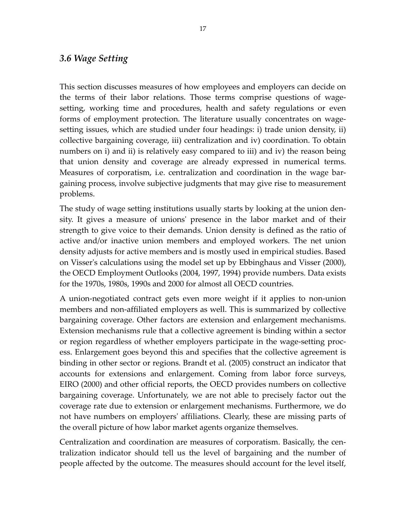#### *3.6 Wage Setting*

This section discusses measures of how employees and employers can decide on the terms of their labor relations. Those terms comprise questions of wage‐ setting, working time and procedures, health and safety regulations or even forms of employment protection. The literature usually concentrates on wagesetting issues, which are studied under four headings: i) trade union density, ii) collective bargaining coverage, iii) centralization and iv) coordination. To obtain numbers on i) and ii) is relatively easy compared to iii) and iv) the reason being that union density and coverage are already expressed in numerical terms. Measures of corporatism, i.e. centralization and coordination in the wage bargaining process, involve subjective judgments that may give rise to measurement problems.

The study of wage setting institutions usually starts by looking at the union den‐ sity. It gives a measure of unionsʹ presence in the labor market and of their strength to give voice to their demands. Union density is defined as the ratio of active and/or inactive union members and employed workers. The net union density adjusts for active members and is mostly used in empirical studies. Based on Visserʹs calculations using the model set up by Ebbinghaus and Visser (2000), the OECD Employment Outlooks (2004, 1997, 1994) provide numbers. Data exists for the 1970s, 1980s, 1990s and 2000 for almost all OECD countries.

A union‐negotiated contract gets even more weight if it applies to non‐union members and non‐affiliated employers as well. This is summarized by collective bargaining coverage. Other factors are extension and enlargement mechanisms. Extension mechanisms rule that a collective agreement is binding within a sector or region regardless of whether employers participate in the wage‐setting proc‐ ess. Enlargement goes beyond this and specifies that the collective agreement is binding in other sector or regions. Brandt et al. (2005) construct an indicator that accounts for extensions and enlargement. Coming from labor force surveys, EIRO (2000) and other official reports, the OECD provides numbers on collective bargaining coverage. Unfortunately, we are not able to precisely factor out the coverage rate due to extension or enlargement mechanisms. Furthermore, we do not have numbers on employersʹ affiliations. Clearly, these are missing parts of the overall picture of how labor market agents organize themselves.

Centralization and coordination are measures of corporatism. Basically, the cen‐ tralization indicator should tell us the level of bargaining and the number of people affected by the outcome. The measures should account for the level itself,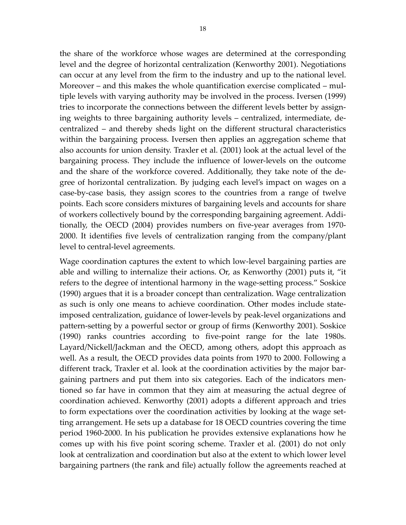the share of the workforce whose wages are determined at the corresponding level and the degree of horizontal centralization (Kenworthy 2001). Negotiations can occur at any level from the firm to the industry and up to the national level. Moreover – and this makes the whole quantification exercise complicated – multiple levels with varying authority may be involved in the process. Iversen (1999) tries to incorporate the connections between the different levels better by assigning weights to three bargaining authority levels – centralized, intermediate, de‐ centralized – and thereby sheds light on the different structural characteristics within the bargaining process. Iversen then applies an aggregation scheme that also accounts for union density. Traxler et al. (2001) look at the actual level of the bargaining process. They include the influence of lower‐levels on the outcome and the share of the workforce covered. Additionally, they take note of the degree of horizontal centralization. By judging each level's impact on wages on a case‐by‐case basis, they assign scores to the countries from a range of twelve points. Each score considers mixtures of bargaining levels and accounts for share of workers collectively bound by the corresponding bargaining agreement. Addi‐ tionally, the OECD (2004) provides numbers on five‐year averages from 1970‐ 2000. It identifies five levels of centralization ranging from the company/plant level to central‐level agreements.

Wage coordination captures the extent to which low-level bargaining parties are able and willing to internalize their actions. Or, as Kenworthy (2001) puts it, "it refers to the degree of intentional harmony in the wage‐setting process." Soskice (1990) argues that it is a broader concept than centralization. Wage centralization as such is only one means to achieve coordination. Other modes include state‐ imposed centralization, guidance of lower‐levels by peak‐level organizations and pattern‐setting by a powerful sector or group of firms (Kenworthy 2001). Soskice (1990) ranks countries according to five‐point range for the late 1980s. Layard/Nickell/Jackman and the OECD, among others, adopt this approach as well. As a result, the OECD provides data points from 1970 to 2000. Following a different track, Traxler et al. look at the coordination activities by the major bar‐ gaining partners and put them into six categories. Each of the indicators men‐ tioned so far have in common that they aim at measuring the actual degree of coordination achieved. Kenworthy (2001) adopts a different approach and tries to form expectations over the coordination activities by looking at the wage set‐ ting arrangement. He sets up a database for 18 OECD countries covering the time period 1960‐2000. In his publication he provides extensive explanations how he comes up with his five point scoring scheme. Traxler et al. (2001) do not only look at centralization and coordination but also at the extent to which lower level bargaining partners (the rank and file) actually follow the agreements reached at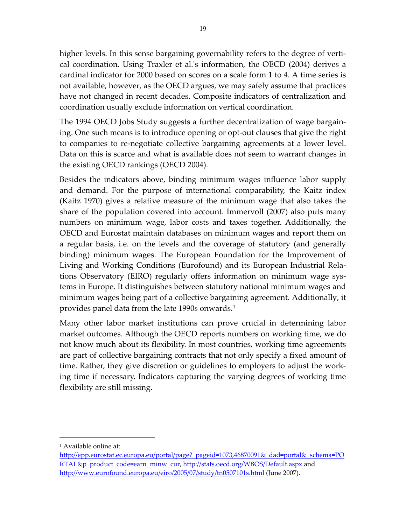<span id="page-18-0"></span>higher levels. In this sense bargaining governability refers to the degree of verti‐ cal coordination. Using Traxler et al.ʹs information, the OECD (2004) derives a cardinal indicator for 2000 based on scores on a scale form 1 to 4. A time series is not available, however, as the OECD argues, we may safely assume that practices have not changed in recent decades. Composite indicators of centralization and coordination usually exclude information on vertical coordination.

The 1994 OECD Jobs Study suggests a further decentralization of wage bargain‐ ing. One such means is to introduce opening or opt‐out clauses that give the right to companies to re‐negotiate collective bargaining agreements at a lower level. Data on this is scarce and what is available does not seem to warrant changes in the existing OECD rankings (OECD 2004).

Besides the indicators above, binding minimum wages influence labor supply and demand. For the purpose of international comparability, the Kaitz index (Kaitz 1970) gives a relative measure of the minimum wage that also takes the share of the population covered into account. Immervoll (2007) also puts many numbers on minimum wage, labor costs and taxes together. Additionally, the OECD and Eurostat maintain databases on minimum wages and report them on a regular basis, i.e. on the levels and the coverage of statutory (and generally binding) minimum wages. The European Foundation for the Improvement of Living and Working Conditions (Eurofound) and its European Industrial Rela‐ tions Observatory (EIRO) regularly offers information on minimum wage sys‐ tems in Europe. It distinguishes between statutory national minimum wages and minimum wages being part of a collective bargaining agreement. Additionally, it provides panel data from the late [1](#page-18-0)990s onwards.<sup>1</sup>

Many other labor market institutions can prove crucial in determining labor market outcomes. Although the OECD reports numbers on working time, we do not know much about its flexibility. In most countries, working time agreements are part of collective bargaining contracts that not only specify a fixed amount of time. Rather, they give discretion or guidelines to employers to adjust the work‐ ing time if necessary. Indicators capturing the varying degrees of working time flexibility are still missing.

 $\overline{a}$ 

<sup>1</sup> Available online at:

http://epp.eurostat.ec.europa.eu/portal/page? pageid=1073,46870091& dad=portal& schema=PO [RTAL&p\\_product\\_code=earn\\_minw\\_cur](http://epp.eurostat.ec.europa.eu/portal/page?_pageid=1073,46870091&_dad=portal&_schema=PORTAL&p_product_code=earn_minw_cur), <http://stats.oecd.org/WBOS/Default.aspx> and <http://www.eurofound.europa.eu/eiro/2005/07/study/tn0507101s.html> (June 2007).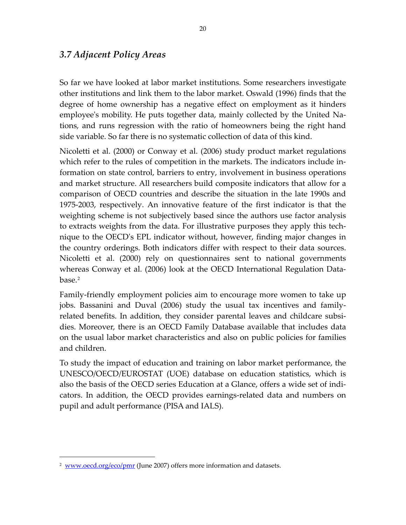#### <span id="page-19-0"></span>*3.7 Adjacent Policy Areas*

So far we have looked at labor market institutions. Some researchers investigate other institutions and link them to the labor market. Oswald (1996) finds that the degree of home ownership has a negative effect on employment as it hinders employee's mobility. He puts together data, mainly collected by the United Nations, and runs regression with the ratio of homeowners being the right hand side variable. So far there is no systematic collection of data of this kind.

Nicoletti et al. (2000) or Conway et al. (2006) study product market regulations which refer to the rules of competition in the markets. The indicators include information on state control, barriers to entry, involvement in business operations and market structure. All researchers build composite indicators that allow for a comparison of OECD countries and describe the situation in the late 1990s and 1975‐2003, respectively. An innovative feature of the first indicator is that the weighting scheme is not subjectively based since the authors use factor analysis to extracts weights from the data. For illustrative purposes they apply this tech‐ nique to the OECDʹs EPL indicator without, however, finding major changes in the country orderings. Both indicators differ with respect to their data sources. Nicoletti et al. (2000) rely on questionnaires sent to national governments whereas Conway et al. (2006) look at the OECD International Regulation Data‐ base.[2](#page-19-0)

Family‐friendly employment policies aim to encourage more women to take up jobs. Bassanini and Duval (2006) study the usual tax incentives and family‐ related benefits. In addition, they consider parental leaves and childcare subsidies. Moreover, there is an OECD Family Database available that includes data on the usual labor market characteristics and also on public policies for families and children.

To study the impact of education and training on labor market performance, the UNESCO/OECD/EUROSTAT (UOE) database on education statistics, which is also the basis of the OECD series Education at a Glance, offers a wide set of indi‐ cators. In addition, the OECD provides earnings‐related data and numbers on pupil and adult performance (PISA and IALS).

 $\overline{a}$ 

<sup>&</sup>lt;sup>2</sup> www.oecd.org/eco/pmr (June 2007) offers more information and datasets.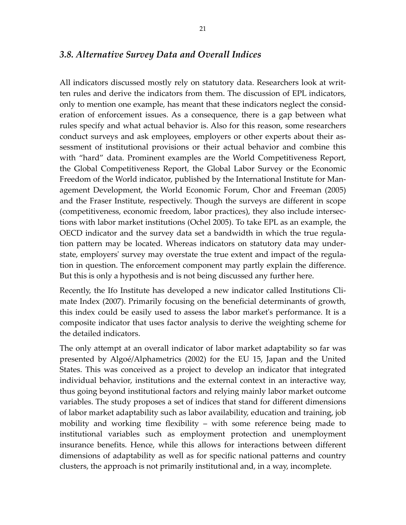#### *3.8. Alternative Survey Data and Overall Indices*

All indicators discussed mostly rely on statutory data. Researchers look at writ‐ ten rules and derive the indicators from them. The discussion of EPL indicators, only to mention one example, has meant that these indicators neglect the consid‐ eration of enforcement issues. As a consequence, there is a gap between what rules specify and what actual behavior is. Also for this reason, some researchers conduct surveys and ask employees, employers or other experts about their assessment of institutional provisions or their actual behavior and combine this with "hard" data. Prominent examples are the World Competitiveness Report, the Global Competitiveness Report, the Global Labor Survey or the Economic Freedom of the World indicator, published by the International Institute for Man‐ agement Development, the World Economic Forum, Chor and Freeman (2005) and the Fraser Institute, respectively. Though the surveys are different in scope (competitiveness, economic freedom, labor practices), they also include intersec‐ tions with labor market institutions (Ochel 2005). To take EPL as an example, the OECD indicator and the survey data set a bandwidth in which the true regula‐ tion pattern may be located. Whereas indicators on statutory data may under‐ state, employers' survey may overstate the true extent and impact of the regulation in question. The enforcement component may partly explain the difference. But this is only a hypothesis and is not being discussed any further here.

Recently, the Ifo Institute has developed a new indicator called Institutions Cli‐ mate Index (2007). Primarily focusing on the beneficial determinants of growth, this index could be easily used to assess the labor marketʹs performance. It is a composite indicator that uses factor analysis to derive the weighting scheme for the detailed indicators.

The only attempt at an overall indicator of labor market adaptability so far was presented by Algoé/Alphametrics (2002) for the EU 15, Japan and the United States. This was conceived as a project to develop an indicator that integrated individual behavior, institutions and the external context in an interactive way, thus going beyond institutional factors and relying mainly labor market outcome variables. The study proposes a set of indices that stand for different dimensions of labor market adaptability such as labor availability, education and training, job mobility and working time flexibility – with some reference being made to institutional variables such as employment protection and unemployment insurance benefits. Hence, while this allows for interactions between different dimensions of adaptability as well as for specific national patterns and country clusters, the approach is not primarily institutional and, in a way, incomplete.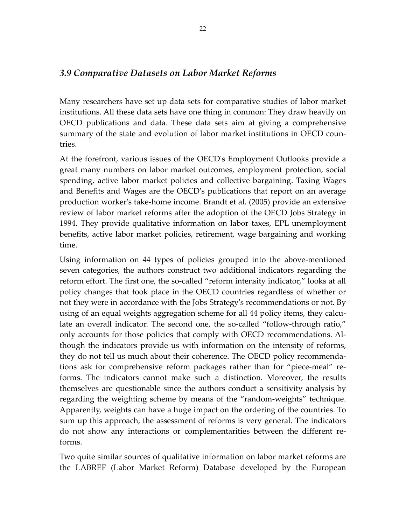#### *3.9 Comparative Datasets on Labor Market Reforms*

Many researchers have set up data sets for comparative studies of labor market institutions. All these data sets have one thing in common: They draw heavily on OECD publications and data. These data sets aim at giving a comprehensive summary of the state and evolution of labor market institutions in OECD coun‐ tries.

At the forefront, various issues of the OECDʹs Employment Outlooks provide a great many numbers on labor market outcomes, employment protection, social spending, active labor market policies and collective bargaining. Taxing Wages and Benefits and Wages are the OECDʹs publications that report on an average production workerʹs take‐home income. Brandt et al. (2005) provide an extensive review of labor market reforms after the adoption of the OECD Jobs Strategy in 1994. They provide qualitative information on labor taxes, EPL unemployment benefits, active labor market policies, retirement, wage bargaining and working time.

Using information on 44 types of policies grouped into the above‐mentioned seven categories, the authors construct two additional indicators regarding the reform effort. The first one, the so-called "reform intensity indicator," looks at all policy changes that took place in the OECD countries regardless of whether or not they were in accordance with the Jobs Strategyʹs recommendations or not. By using of an equal weights aggregation scheme for all 44 policy items, they calculate an overall indicator. The second one, the so-called "follow-through ratio," only accounts for those policies that comply with OECD recommendations. Al‐ though the indicators provide us with information on the intensity of reforms, they do not tell us much about their coherence. The OECD policy recommenda‐ tions ask for comprehensive reform packages rather than for "piece-meal" reforms. The indicators cannot make such a distinction. Moreover, the results themselves are questionable since the authors conduct a sensitivity analysis by regarding the weighting scheme by means of the "random‐weights" technique. Apparently, weights can have a huge impact on the ordering of the countries. To sum up this approach, the assessment of reforms is very general. The indicators do not show any interactions or complementarities between the different re‐ forms.

Two quite similar sources of qualitative information on labor market reforms are the LABREF (Labor Market Reform) Database developed by the European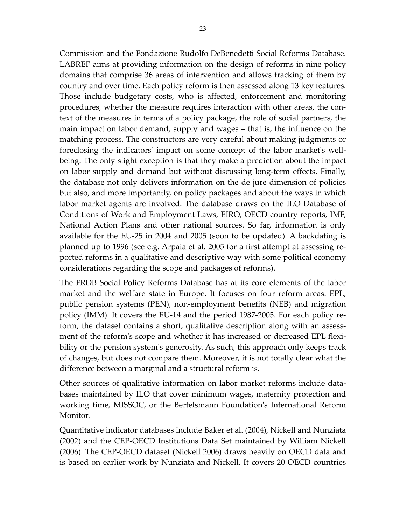Commission and the Fondazione Rudolfo DeBenedetti Social Reforms Database. LABREF aims at providing information on the design of reforms in nine policy domains that comprise 36 areas of intervention and allows tracking of them by country and over time. Each policy reform is then assessed along 13 key features. Those include budgetary costs, who is affected, enforcement and monitoring procedures, whether the measure requires interaction with other areas, the context of the measures in terms of a policy package, the role of social partners, the main impact on labor demand, supply and wages – that is, the influence on the matching process. The constructors are very careful about making judgments or foreclosing the indicators' impact on some concept of the labor market's wellbeing. The only slight exception is that they make a prediction about the impact on labor supply and demand but without discussing long‐term effects. Finally, the database not only delivers information on the de jure dimension of policies but also, and more importantly, on policy packages and about the ways in which labor market agents are involved. The database draws on the ILO Database of Conditions of Work and Employment Laws, EIRO, OECD country reports, IMF, National Action Plans and other national sources. So far, information is only available for the EU‐25 in 2004 and 2005 (soon to be updated). A backdating is planned up to 1996 (see e.g. Arpaia et al. 2005 for a first attempt at assessing re‐ ported reforms in a qualitative and descriptive way with some political economy considerations regarding the scope and packages of reforms).

The FRDB Social Policy Reforms Database has at its core elements of the labor market and the welfare state in Europe. It focuses on four reform areas: EPL, public pension systems (PEN), non‐employment benefits (NEB) and migration policy (IMM). It covers the EU‐14 and the period 1987‐2005. For each policy re‐ form, the dataset contains a short, qualitative description along with an assessment of the reform's scope and whether it has increased or decreased EPL flexibility or the pension system's generosity. As such, this approach only keeps track of changes, but does not compare them. Moreover, it is not totally clear what the difference between a marginal and a structural reform is.

Other sources of qualitative information on labor market reforms include data‐ bases maintained by ILO that cover minimum wages, maternity protection and working time, MISSOC, or the Bertelsmann Foundation's International Reform Monitor.

Quantitative indicator databases include Baker et al. (2004), Nickell and Nunziata (2002) and the CEP‐OECD Institutions Data Set maintained by William Nickell (2006). The CEP‐OECD dataset (Nickell 2006) draws heavily on OECD data and is based on earlier work by Nunziata and Nickell. It covers 20 OECD countries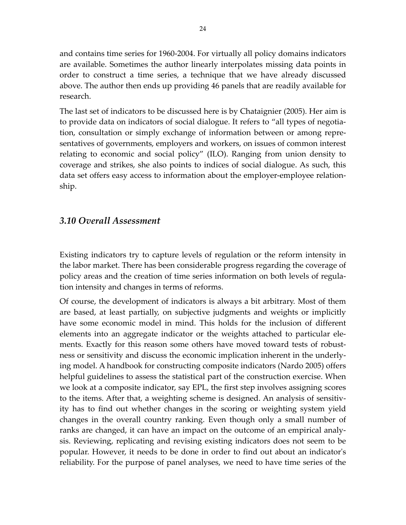and contains time series for 1960‐2004. For virtually all policy domains indicators are available. Sometimes the author linearly interpolates missing data points in order to construct a time series, a technique that we have already discussed above. The author then ends up providing 46 panels that are readily available for research.

The last set of indicators to be discussed here is by Chataignier (2005). Her aim is to provide data on indicators of social dialogue. It refers to "all types of negotia‐ tion, consultation or simply exchange of information between or among repre‐ sentatives of governments, employers and workers, on issues of common interest relating to economic and social policy" (ILO). Ranging from union density to coverage and strikes, she also points to indices of social dialogue. As such, this data set offers easy access to information about the employer-employee relationship.

#### *3.10 Overall Assessment*

Existing indicators try to capture levels of regulation or the reform intensity in the labor market. There has been considerable progress regarding the coverage of policy areas and the creation of time series information on both levels of regula‐ tion intensity and changes in terms of reforms.

Of course, the development of indicators is always a bit arbitrary. Most of them are based, at least partially, on subjective judgments and weights or implicitly have some economic model in mind. This holds for the inclusion of different elements into an aggregate indicator or the weights attached to particular ele‐ ments. Exactly for this reason some others have moved toward tests of robustness or sensitivity and discuss the economic implication inherent in the underly‐ ing model. A handbook for constructing composite indicators (Nardo 2005) offers helpful guidelines to assess the statistical part of the construction exercise. When we look at a composite indicator, say EPL, the first step involves assigning scores to the items. After that, a weighting scheme is designed. An analysis of sensitiv‐ ity has to find out whether changes in the scoring or weighting system yield changes in the overall country ranking. Even though only a small number of ranks are changed, it can have an impact on the outcome of an empirical analy‐ sis. Reviewing, replicating and revising existing indicators does not seem to be popular. However, it needs to be done in order to find out about an indicatorʹs reliability. For the purpose of panel analyses, we need to have time series of the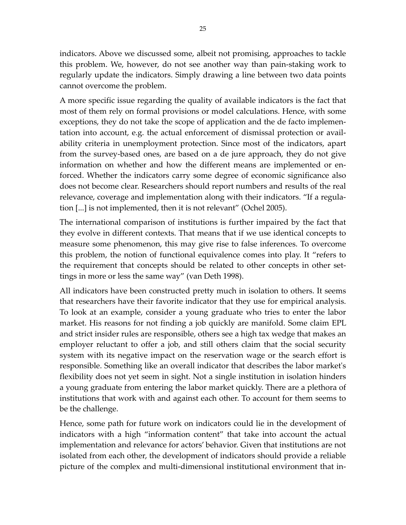indicators. Above we discussed some, albeit not promising, approaches to tackle this problem. We, however, do not see another way than pain‐staking work to regularly update the indicators. Simply drawing a line between two data points cannot overcome the problem.

A more specific issue regarding the quality of available indicators is the fact that most of them rely on formal provisions or model calculations. Hence, with some exceptions, they do not take the scope of application and the de facto implemen‐ tation into account, e.g. the actual enforcement of dismissal protection or avail‐ ability criteria in unemployment protection. Since most of the indicators, apart from the survey‐based ones, are based on a de jure approach, they do not give information on whether and how the different means are implemented or enforced. Whether the indicators carry some degree of economic significance also does not become clear. Researchers should report numbers and results of the real relevance, coverage and implementation along with their indicators. "If a regula‐ tion [...] is not implemented, then it is not relevant" (Ochel 2005).

The international comparison of institutions is further impaired by the fact that they evolve in different contexts. That means that if we use identical concepts to measure some phenomenon, this may give rise to false inferences. To overcome this problem, the notion of functional equivalence comes into play. It "refers to the requirement that concepts should be related to other concepts in other set‐ tings in more or less the same way" (van Deth 1998).

All indicators have been constructed pretty much in isolation to others. It seems that researchers have their favorite indicator that they use for empirical analysis. To look at an example, consider a young graduate who tries to enter the labor market. His reasons for not finding a job quickly are manifold. Some claim EPL and strict insider rules are responsible, others see a high tax wedge that makes an employer reluctant to offer a job, and still others claim that the social security system with its negative impact on the reservation wage or the search effort is responsible. Something like an overall indicator that describes the labor marketʹs flexibility does not yet seem in sight. Not a single institution in isolation hinders a young graduate from entering the labor market quickly. There are a plethora of institutions that work with and against each other. To account for them seems to be the challenge.

Hence, some path for future work on indicators could lie in the development of indicators with a high "information content" that take into account the actual implementation and relevance for actors' behavior. Given that institutions are not isolated from each other, the development of indicators should provide a reliable picture of the complex and multi‐dimensional institutional environment that in‐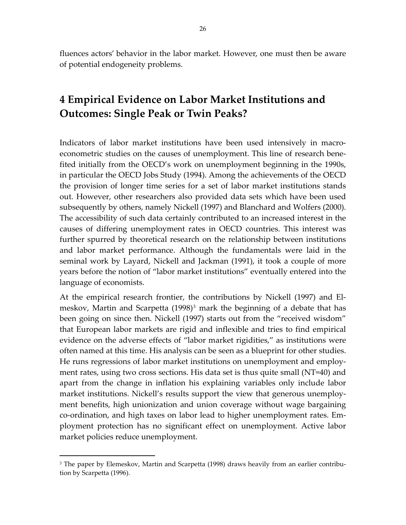<span id="page-25-0"></span>fluences actors' behavior in the labor market. However, one must then be aware of potential endogeneity problems.

# **4 Empirical Evidence on Labor Market Institutions and Outcomes: Single Peak or Twin Peaks?**

Indicators of labor market institutions have been used intensively in macro‐ econometric studies on the causes of unemployment. This line of research bene‐ fited initially from the OECD's work on unemployment beginning in the 1990s, in particular the OECD Jobs Study (1994). Among the achievements of the OECD the provision of longer time series for a set of labor market institutions stands out. However, other researchers also provided data sets which have been used subsequently by others, namely Nickell (1997) and Blanchard and Wolfers (2000). The accessibility of such data certainly contributed to an increased interest in the causes of differing unemployment rates in OECD countries. This interest was further spurred by theoretical research on the relationship between institutions and labor market performance. Although the fundamentals were laid in the seminal work by Layard, Nickell and Jackman (1991), it took a couple of more years before the notion of "labor market institutions" eventually entered into the language of economists.

At the empirical research frontier, the contributions by Nickell (1997) and El‐ meskov, Martin and Scarpetta (1998)<sup>[3](#page-25-0)</sup> mark the beginning of a debate that has been going on since then. Nickell (1997) starts out from the "received wisdom" that European labor markets are rigid and inflexible and tries to find empirical evidence on the adverse effects of "labor market rigidities," as institutions were often named at this time. His analysis can be seen as a blueprint for other studies. He runs regressions of labor market institutions on unemployment and employ‐ ment rates, using two cross sections. His data set is thus quite small (NT=40) and apart from the change in inflation his explaining variables only include labor market institutions. Nickell's results support the view that generous unemployment benefits, high unionization and union coverage without wage bargaining co-ordination, and high taxes on labor lead to higher unemployment rates. Employment protection has no significant effect on unemployment. Active labor market policies reduce unemployment.

 $\overline{a}$ 

<sup>&</sup>lt;sup>3</sup> The paper by Elemeskov, Martin and Scarpetta (1998) draws heavily from an earlier contribution by Scarpetta (1996).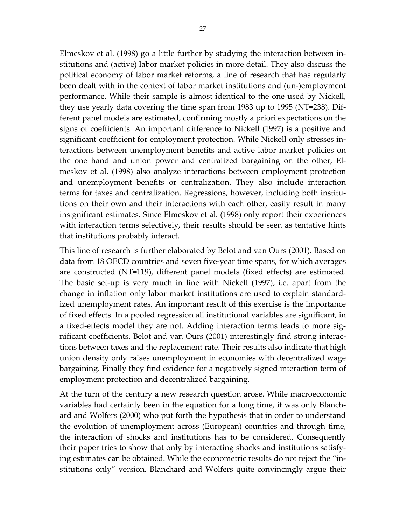Elmeskov et al. (1998) go a little further by studying the interaction between in‐ stitutions and (active) labor market policies in more detail. They also discuss the political economy of labor market reforms, a line of research that has regularly been dealt with in the context of labor market institutions and (un‐)employment performance. While their sample is almost identical to the one used by Nickell, they use yearly data covering the time span from 1983 up to 1995 (NT=238). Dif‐ ferent panel models are estimated, confirming mostly a priori expectations on the signs of coefficients. An important difference to Nickell (1997) is a positive and significant coefficient for employment protection. While Nickell only stresses in‐ teractions between unemployment benefits and active labor market policies on the one hand and union power and centralized bargaining on the other, El‐ meskov et al. (1998) also analyze interactions between employment protection and unemployment benefits or centralization. They also include interaction terms for taxes and centralization. Regressions, however, including both institu‐ tions on their own and their interactions with each other, easily result in many insignificant estimates. Since Elmeskov et al. (1998) only report their experiences with interaction terms selectively, their results should be seen as tentative hints that institutions probably interact.

This line of research is further elaborated by Belot and van Ours (2001). Based on data from 18 OECD countries and seven five‐year time spans, for which averages are constructed (NT=119), different panel models (fixed effects) are estimated. The basic set‐up is very much in line with Nickell (1997); i.e. apart from the change in inflation only labor market institutions are used to explain standard‐ ized unemployment rates. An important result of this exercise is the importance of fixed effects. In a pooled regression all institutional variables are significant, in a fixed-effects model they are not. Adding interaction terms leads to more significant coefficients. Belot and van Ours (2001) interestingly find strong interac‐ tions between taxes and the replacement rate. Their results also indicate that high union density only raises unemployment in economies with decentralized wage bargaining. Finally they find evidence for a negatively signed interaction term of employment protection and decentralized bargaining.

At the turn of the century a new research question arose. While macroeconomic variables had certainly been in the equation for a long time, it was only Blanch‐ ard and Wolfers (2000) who put forth the hypothesis that in order to understand the evolution of unemployment across (European) countries and through time, the interaction of shocks and institutions has to be considered. Consequently their paper tries to show that only by interacting shocks and institutions satisfy‐ ing estimates can be obtained. While the econometric results do not reject the "in‐ stitutions only" version, Blanchard and Wolfers quite convincingly argue their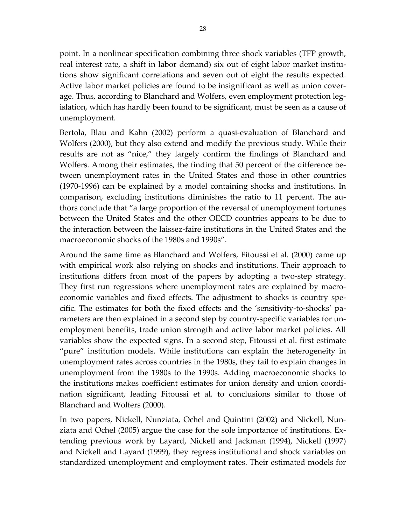point. In a nonlinear specification combining three shock variables (TFP growth, real interest rate, a shift in labor demand) six out of eight labor market institu‐ tions show significant correlations and seven out of eight the results expected. Active labor market policies are found to be insignificant as well as union cover‐ age. Thus, according to Blanchard and Wolfers, even employment protection legislation, which has hardly been found to be significant, must be seen as a cause of unemployment.

Bertola, Blau and Kahn (2002) perform a quasi-evaluation of Blanchard and Wolfers (2000), but they also extend and modify the previous study. While their results are not as "nice," they largely confirm the findings of Blanchard and Wolfers. Among their estimates, the finding that 50 percent of the difference be‐ tween unemployment rates in the United States and those in other countries (1970‐1996) can be explained by a model containing shocks and institutions. In comparison, excluding institutions diminishes the ratio to 11 percent. The au‐ thors conclude that "a large proportion of the reversal of unemployment fortunes between the United States and the other OECD countries appears to be due to the interaction between the laissez‐faire institutions in the United States and the macroeconomic shocks of the 1980s and 1990s".

Around the same time as Blanchard and Wolfers, Fitoussi et al. (2000) came up with empirical work also relying on shocks and institutions. Their approach to institutions differs from most of the papers by adopting a two‐step strategy. They first run regressions where unemployment rates are explained by macro‐ economic variables and fixed effects. The adjustment to shocks is country spe‐ cific. The estimates for both the fixed effects and the 'sensitivity‐to‐shocks' pa‐ rameters are then explained in a second step by country-specific variables for unemployment benefits, trade union strength and active labor market policies. All variables show the expected signs. In a second step, Fitoussi et al. first estimate "pure" institution models. While institutions can explain the heterogeneity in unemployment rates across countries in the 1980s, they fail to explain changes in unemployment from the 1980s to the 1990s. Adding macroeconomic shocks to the institutions makes coefficient estimates for union density and union coordi‐ nation significant, leading Fitoussi et al. to conclusions similar to those of Blanchard and Wolfers (2000).

In two papers, Nickell, Nunziata, Ochel and Quintini (2002) and Nickell, Nun‐ ziata and Ochel (2005) argue the case for the sole importance of institutions. Ex‐ tending previous work by Layard, Nickell and Jackman (1994), Nickell (1997) and Nickell and Layard (1999), they regress institutional and shock variables on standardized unemployment and employment rates. Their estimated models for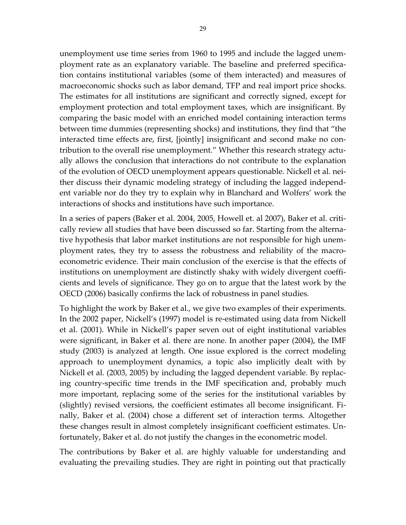unemployment use time series from 1960 to 1995 and include the lagged unem‐ ployment rate as an explanatory variable. The baseline and preferred specifica‐ tion contains institutional variables (some of them interacted) and measures of macroeconomic shocks such as labor demand, TFP and real import price shocks. The estimates for all institutions are significant and correctly signed, except for employment protection and total employment taxes, which are insignificant. By comparing the basic model with an enriched model containing interaction terms between time dummies (representing shocks) and institutions, they find that "the interacted time effects are, first, [jointly] insignificant and second make no con‐ tribution to the overall rise unemployment." Whether this research strategy actually allows the conclusion that interactions do not contribute to the explanation of the evolution of OECD unemployment appears questionable. Nickell et al. nei‐ ther discuss their dynamic modeling strategy of including the lagged independ‐ ent variable nor do they try to explain why in Blanchard and Wolfers' work the interactions of shocks and institutions have such importance.

In a series of papers (Baker et al. 2004, 2005, Howell et. al 2007), Baker et al. criti‐ cally review all studies that have been discussed so far. Starting from the alterna‐ tive hypothesis that labor market institutions are not responsible for high unem‐ ployment rates, they try to assess the robustness and reliability of the macro‐ econometric evidence. Their main conclusion of the exercise is that the effects of institutions on unemployment are distinctly shaky with widely divergent coeffi‐ cients and levels of significance. They go on to argue that the latest work by the OECD (2006) basically confirms the lack of robustness in panel studies.

To highlight the work by Baker et al., we give two examples of their experiments. In the 2002 paper, Nickell's (1997) model is re-estimated using data from Nickell et al. (2001). While in Nickell's paper seven out of eight institutional variables were significant, in Baker et al. there are none. In another paper (2004), the IMF study (2003) is analyzed at length. One issue explored is the correct modeling approach to unemployment dynamics, a topic also implicitly dealt with by Nickell et al. (2003, 2005) by including the lagged dependent variable. By replac‐ ing country‐specific time trends in the IMF specification and, probably much more important, replacing some of the series for the institutional variables by (slightly) revised versions, the coefficient estimates all become insignificant. Fi‐ nally, Baker et al. (2004) chose a different set of interaction terms. Altogether these changes result in almost completely insignificant coefficient estimates. Un‐ fortunately, Baker et al. do not justify the changes in the econometric model.

The contributions by Baker et al. are highly valuable for understanding and evaluating the prevailing studies. They are right in pointing out that practically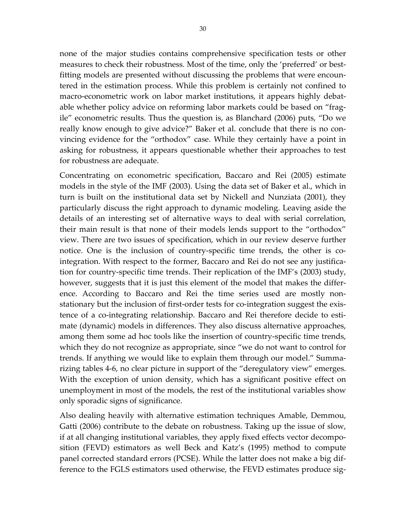none of the major studies contains comprehensive specification tests or other measures to check their robustness. Most of the time, only the 'preferred' or bestfitting models are presented without discussing the problems that were encoun‐ tered in the estimation process. While this problem is certainly not confined to macro‐econometric work on labor market institutions, it appears highly debat‐ able whether policy advice on reforming labor markets could be based on "frag‐ ile" econometric results. Thus the question is, as Blanchard (2006) puts, "Do we really know enough to give advice?" Baker et al. conclude that there is no convincing evidence for the "orthodox" case. While they certainly have a point in asking for robustness, it appears questionable whether their approaches to test for robustness are adequate.

Concentrating on econometric specification, Baccaro and Rei (2005) estimate models in the style of the IMF (2003). Using the data set of Baker et al., which in turn is built on the institutional data set by Nickell and Nunziata (2001), they particularly discuss the right approach to dynamic modeling. Leaving aside the details of an interesting set of alternative ways to deal with serial correlation, their main result is that none of their models lends support to the "orthodox" view. There are two issues of specification, which in our review deserve further notice. One is the inclusion of country-specific time trends, the other is cointegration. With respect to the former, Baccaro and Rei do not see any justifica‐ tion for country‐specific time trends. Their replication of the IMF's (2003) study, however, suggests that it is just this element of the model that makes the differ‐ ence. According to Baccaro and Rei the time series used are mostly non‐ stationary but the inclusion of first-order tests for co-integration suggest the existence of a co-integrating relationship. Baccaro and Rei therefore decide to estimate (dynamic) models in differences. They also discuss alternative approaches, among them some ad hoc tools like the insertion of country-specific time trends, which they do not recognize as appropriate, since "we do not want to control for trends. If anything we would like to explain them through our model." Summa‐ rizing tables 4‐6, no clear picture in support of the "deregulatory view" emerges. With the exception of union density, which has a significant positive effect on unemployment in most of the models, the rest of the institutional variables show only sporadic signs of significance.

Also dealing heavily with alternative estimation techniques Amable, Demmou, Gatti (2006) contribute to the debate on robustness. Taking up the issue of slow, if at all changing institutional variables, they apply fixed effects vector decompo‐ sition (FEVD) estimators as well Beck and Katz's (1995) method to compute panel corrected standard errors (PCSE). While the latter does not make a big dif‐ ference to the FGLS estimators used otherwise, the FEVD estimates produce sig-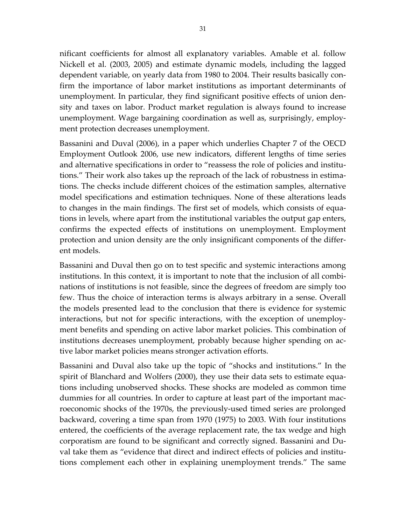nificant coefficients for almost all explanatory variables. Amable et al. follow Nickell et al. (2003, 2005) and estimate dynamic models, including the lagged dependent variable, on yearly data from 1980 to 2004. Their results basically con‐ firm the importance of labor market institutions as important determinants of unemployment. In particular, they find significant positive effects of union den‐ sity and taxes on labor. Product market regulation is always found to increase unemployment. Wage bargaining coordination as well as, surprisingly, employ‐ ment protection decreases unemployment.

Bassanini and Duval (2006), in a paper which underlies Chapter 7 of the OECD Employment Outlook 2006, use new indicators, different lengths of time series and alternative specifications in order to "reassess the role of policies and institu‐ tions." Their work also takes up the reproach of the lack of robustness in estima‐ tions. The checks include different choices of the estimation samples, alternative model specifications and estimation techniques. None of these alterations leads to changes in the main findings. The first set of models, which consists of equa‐ tions in levels, where apart from the institutional variables the output gap enters, confirms the expected effects of institutions on unemployment. Employment protection and union density are the only insignificant components of the differ‐ ent models.

Bassanini and Duval then go on to test specific and systemic interactions among institutions. In this context, it is important to note that the inclusion of all combi‐ nations of institutions is not feasible, since the degrees of freedom are simply too few. Thus the choice of interaction terms is always arbitrary in a sense. Overall the models presented lead to the conclusion that there is evidence for systemic interactions, but not for specific interactions, with the exception of unemploy‐ ment benefits and spending on active labor market policies. This combination of institutions decreases unemployment, probably because higher spending on ac‐ tive labor market policies means stronger activation efforts.

Bassanini and Duval also take up the topic of "shocks and institutions." In the spirit of Blanchard and Wolfers (2000), they use their data sets to estimate equations including unobserved shocks. These shocks are modeled as common time dummies for all countries. In order to capture at least part of the important mac‐ roeconomic shocks of the 1970s, the previously‐used timed series are prolonged backward, covering a time span from 1970 (1975) to 2003. With four institutions entered, the coefficients of the average replacement rate, the tax wedge and high corporatism are found to be significant and correctly signed. Bassanini and Du‐ val take them as "evidence that direct and indirect effects of policies and institu‐ tions complement each other in explaining unemployment trends." The same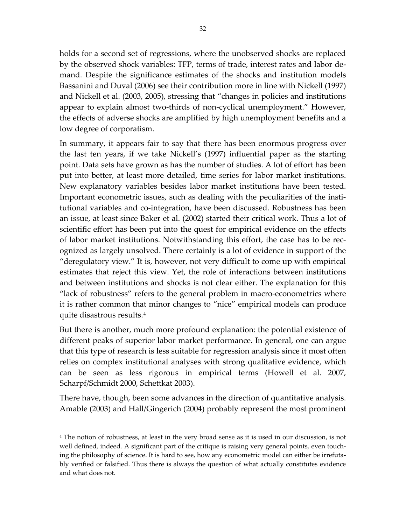<span id="page-31-0"></span>holds for a second set of regressions, where the unobserved shocks are replaced by the observed shock variables: TFP, terms of trade, interest rates and labor de‐ mand. Despite the significance estimates of the shocks and institution models Bassanini and Duval (2006) see their contribution more in line with Nickell (1997) and Nickell et al. (2003, 2005), stressing that "changes in policies and institutions appear to explain almost two‐thirds of non‐cyclical unemployment." However, the effects of adverse shocks are amplified by high unemployment benefits and a low degree of corporatism.

In summary, it appears fair to say that there has been enormous progress over the last ten years, if we take Nickell's (1997) influential paper as the starting point. Data sets have grown as has the number of studies. A lot of effort has been put into better, at least more detailed, time series for labor market institutions. New explanatory variables besides labor market institutions have been tested. Important econometric issues, such as dealing with the peculiarities of the institutional variables and co-integration, have been discussed. Robustness has been an issue, at least since Baker et al. (2002) started their critical work. Thus a lot of scientific effort has been put into the quest for empirical evidence on the effects of labor market institutions. Notwithstanding this effort, the case has to be rec‐ ognized as largely unsolved. There certainly is a lot of evidence in support of the "deregulatory view." It is, however, not very difficult to come up with empirical estimates that reject this view. Yet, the role of interactions between institutions and between institutions and shocks is not clear either. The explanation for this "lack of robustness" refers to the general problem in macro‐econometrics where it is rather common that minor changes to "nice" empirical models can produce quite disastrous results.[4](#page-31-0)

But there is another, much more profound explanation: the potential existence of different peaks of superior labor market performance. In general, one can argue that this type of research is less suitable for regression analysis since it most often relies on complex institutional analyses with strong qualitative evidence, which can be seen as less rigorous in empirical terms (Howell et al. 2007, Scharpf/Schmidt 2000, Schettkat 2003).

There have, though, been some advances in the direction of quantitative analysis. Amable (2003) and Hall/Gingerich (2004) probably represent the most prominent

 $\overline{a}$ 

<sup>4</sup> The notion of robustness, at least in the very broad sense as it is used in our discussion, is not well defined, indeed. A significant part of the critique is raising very general points, even touching the philosophy of science. It is hard to see, how any econometric model can either be irrefutably verified or falsified. Thus there is always the question of what actually constitutes evidence and what does not.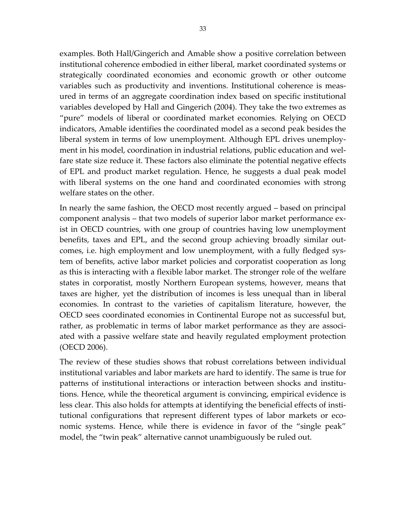examples. Both Hall/Gingerich and Amable show a positive correlation between institutional coherence embodied in either liberal, market coordinated systems or strategically coordinated economies and economic growth or other outcome variables such as productivity and inventions. Institutional coherence is meas‐ ured in terms of an aggregate coordination index based on specific institutional variables developed by Hall and Gingerich (2004). They take the two extremes as "pure" models of liberal or coordinated market economies. Relying on OECD indicators, Amable identifies the coordinated model as a second peak besides the liberal system in terms of low unemployment. Although EPL drives unemploy‐ ment in his model, coordination in industrial relations, public education and welfare state size reduce it. These factors also eliminate the potential negative effects of EPL and product market regulation. Hence, he suggests a dual peak model with liberal systems on the one hand and coordinated economies with strong welfare states on the other.

In nearly the same fashion, the OECD most recently argued – based on principal component analysis – that two models of superior labor market performance ex‐ ist in OECD countries, with one group of countries having low unemployment benefits, taxes and EPL, and the second group achieving broadly similar out‐ comes, i.e. high employment and low unemployment, with a fully fledged system of benefits, active labor market policies and corporatist cooperation as long as this is interacting with a flexible labor market. The stronger role of the welfare states in corporatist, mostly Northern European systems, however, means that taxes are higher, yet the distribution of incomes is less unequal than in liberal economies. In contrast to the varieties of capitalism literature, however, the OECD sees coordinated economies in Continental Europe not as successful but, rather, as problematic in terms of labor market performance as they are associated with a passive welfare state and heavily regulated employment protection (OECD 2006).

The review of these studies shows that robust correlations between individual institutional variables and labor markets are hard to identify. The same is true for patterns of institutional interactions or interaction between shocks and institu‐ tions. Hence, while the theoretical argument is convincing, empirical evidence is less clear. This also holds for attempts at identifying the beneficial effects of insti‐ tutional configurations that represent different types of labor markets or economic systems. Hence, while there is evidence in favor of the "single peak" model, the "twin peak" alternative cannot unambiguously be ruled out.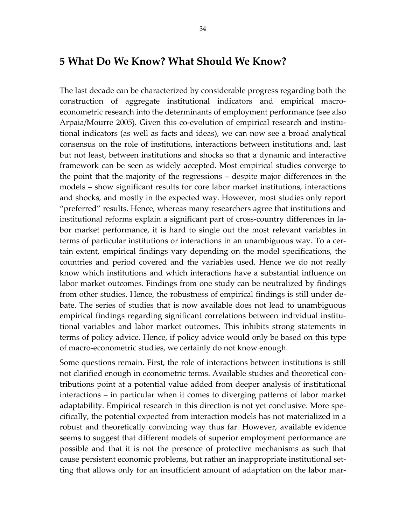#### **5 What Do We Know? What Should We Know?**

The last decade can be characterized by considerable progress regarding both the construction of aggregate institutional indicators and empirical macroeconometric research into the determinants of employment performance (see also Arpaia/Mourre 2005). Given this co-evolution of empirical research and institutional indicators (as well as facts and ideas), we can now see a broad analytical consensus on the role of institutions, interactions between institutions and, last but not least, between institutions and shocks so that a dynamic and interactive framework can be seen as widely accepted. Most empirical studies converge to the point that the majority of the regressions – despite major differences in the models – show significant results for core labor market institutions, interactions and shocks, and mostly in the expected way. However, most studies only report "preferred" results. Hence, whereas many researchers agree that institutions and institutional reforms explain a significant part of cross‐country differences in la‐ bor market performance, it is hard to single out the most relevant variables in terms of particular institutions or interactions in an unambiguous way. To a cer‐ tain extent, empirical findings vary depending on the model specifications, the countries and period covered and the variables used. Hence we do not really know which institutions and which interactions have a substantial influence on labor market outcomes. Findings from one study can be neutralized by findings from other studies. Hence, the robustness of empirical findings is still under de‐ bate. The series of studies that is now available does not lead to unambiguous empirical findings regarding significant correlations between individual institu‐ tional variables and labor market outcomes. This inhibits strong statements in terms of policy advice. Hence, if policy advice would only be based on this type of macro‐econometric studies, we certainly do not know enough.

Some questions remain. First, the role of interactions between institutions is still not clarified enough in econometric terms. Available studies and theoretical contributions point at a potential value added from deeper analysis of institutional interactions – in particular when it comes to diverging patterns of labor market adaptability. Empirical research in this direction is not yet conclusive. More spe‐ cifically, the potential expected from interaction models has not materialized in a robust and theoretically convincing way thus far. However, available evidence seems to suggest that different models of superior employment performance are possible and that it is not the presence of protective mechanisms as such that cause persistent economic problems, but rather an inappropriate institutional set‐ ting that allows only for an insufficient amount of adaptation on the labor mar‐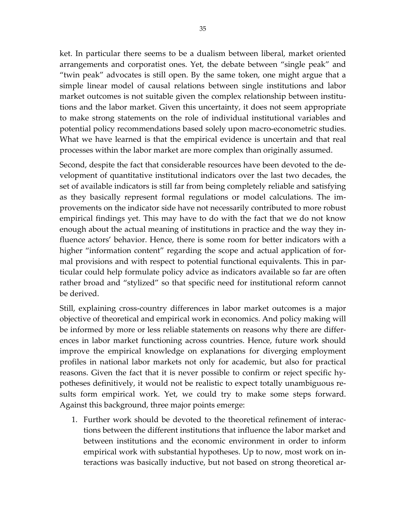ket. In particular there seems to be a dualism between liberal, market oriented arrangements and corporatist ones. Yet, the debate between "single peak" and "twin peak" advocates is still open. By the same token, one might argue that a simple linear model of causal relations between single institutions and labor market outcomes is not suitable given the complex relationship between institutions and the labor market. Given this uncertainty, it does not seem appropriate to make strong statements on the role of individual institutional variables and potential policy recommendations based solely upon macro‐econometric studies. What we have learned is that the empirical evidence is uncertain and that real processes within the labor market are more complex than originally assumed.

Second, despite the fact that considerable resources have been devoted to the de‐ velopment of quantitative institutional indicators over the last two decades, the set of available indicators is still far from being completely reliable and satisfying as they basically represent formal regulations or model calculations. The im‐ provements on the indicator side have not necessarily contributed to more robust empirical findings yet. This may have to do with the fact that we do not know enough about the actual meaning of institutions in practice and the way they in‐ fluence actors' behavior. Hence, there is some room for better indicators with a higher "information content" regarding the scope and actual application of formal provisions and with respect to potential functional equivalents. This in par‐ ticular could help formulate policy advice as indicators available so far are often rather broad and "stylized" so that specific need for institutional reform cannot be derived.

Still, explaining cross‐country differences in labor market outcomes is a major objective of theoretical and empirical work in economics. And policy making will be informed by more or less reliable statements on reasons why there are differ‐ ences in labor market functioning across countries. Hence, future work should improve the empirical knowledge on explanations for diverging employment profiles in national labor markets not only for academic, but also for practical reasons. Given the fact that it is never possible to confirm or reject specific hy‐ potheses definitively, it would not be realistic to expect totally unambiguous re‐ sults form empirical work. Yet, we could try to make some steps forward. Against this background, three major points emerge:

1. Further work should be devoted to the theoretical refinement of interac‐ tions between the different institutions that influence the labor market and between institutions and the economic environment in order to inform empirical work with substantial hypotheses. Up to now, most work on in‐ teractions was basically inductive, but not based on strong theoretical ar‐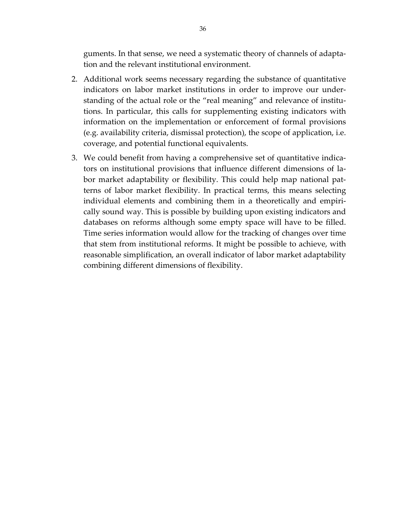guments. In that sense, we need a systematic theory of channels of adapta‐ tion and the relevant institutional environment.

- 2. Additional work seems necessary regarding the substance of quantitative indicators on labor market institutions in order to improve our under‐ standing of the actual role or the "real meaning" and relevance of institu‐ tions. In particular, this calls for supplementing existing indicators with information on the implementation or enforcement of formal provisions (e.g. availability criteria, dismissal protection), the scope of application, i.e. coverage, and potential functional equivalents.
- 3. We could benefit from having a comprehensive set of quantitative indica‐ tors on institutional provisions that influence different dimensions of la‐ bor market adaptability or flexibility. This could help map national pat‐ terns of labor market flexibility. In practical terms, this means selecting individual elements and combining them in a theoretically and empiri‐ cally sound way. This is possible by building upon existing indicators and databases on reforms although some empty space will have to be filled. Time series information would allow for the tracking of changes over time that stem from institutional reforms. It might be possible to achieve, with reasonable simplification, an overall indicator of labor market adaptability combining different dimensions of flexibility.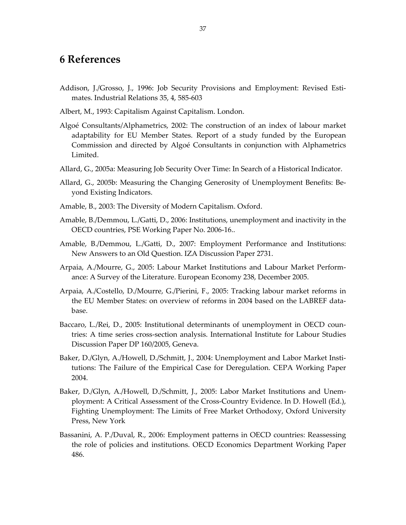## **6 References**

- Addison, J./Grosso, J., 1996: Job Security Provisions and Employment: Revised Esti‐ mates. Industrial Relations 35, 4, 585‐603
- Albert, M., 1993: Capitalism Against Capitalism. London.
- Algoé Consultants/Alphametrics, 2002: The construction of an index of labour market adaptability for EU Member States. Report of a study funded by the European Commission and directed by Algoé Consultants in conjunction with Alphametrics Limited.
- Allard, G., 2005a: Measuring Job Security Over Time: In Search of a Historical Indicator.
- Allard, G., 2005b: Measuring the Changing Generosity of Unemployment Benefits: Be‐ yond Existing Indicators.
- Amable, B., 2003: The Diversity of Modern Capitalism. Oxford.
- Amable, B./Demmou, L./Gatti, D., 2006: Institutions, unemployment and inactivity in the OECD countries, PSE Working Paper No. 2006‐16..
- Amable, B./Demmou, L./Gatti, D., 2007: Employment Performance and Institutions: New Answers to an Old Question. IZA Discussion Paper 2731.
- Arpaia, A./Mourre, G., 2005: Labour Market Institutions and Labour Market Perform‐ ance: A Survey of the Literature. European Economy 238, December 2005.
- Arpaia, A./Costello, D./Mourre, G./Pierini, F., 2005: Tracking labour market reforms in the EU Member States: on overview of reforms in 2004 based on the LABREF data‐ base.
- Baccaro, L./Rei, D., 2005: Institutional determinants of unemployment in OECD coun‐ tries: A time series cross‐section analysis. International Institute for Labour Studies Discussion Paper DP 160/2005, Geneva.
- Baker, D./Glyn, A./Howell, D./Schmitt, J., 2004: Unemployment and Labor Market Insti‐ tutions: The Failure of the Empirical Case for Deregulation. CEPA Working Paper 2004.
- Baker, D./Glyn, A./Howell, D./Schmitt, J., 2005: Labor Market Institutions and Unemployment: A Critical Assessment of the Cross‐Country Evidence. In D. Howell (Ed.), Fighting Unemployment: The Limits of Free Market Orthodoxy, Oxford University Press, New York
- Bassanini, A. P./Duval, R., 2006: Employment patterns in OECD countries: Reassessing the role of policies and institutions. OECD Economics Department Working Paper 486.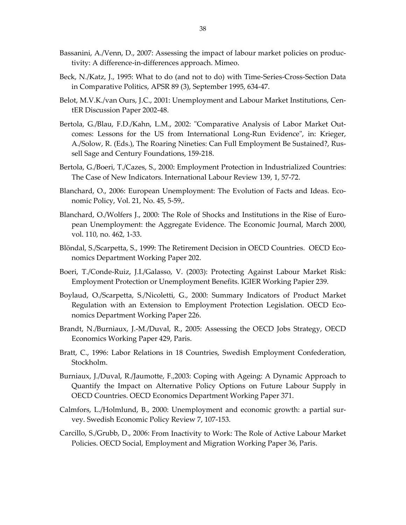- Bassanini, A./Venn, D., 2007: [Assessing](http://www.iza.org/conference_files/MeLaMa_2007/bassanini_a1425.pdf) the impact of labour market policies on produc‐ tivity: A difference‐in‐[differences](http://www.iza.org/conference_files/MeLaMa_2007/bassanini_a1425.pdf) approach. Mimeo.
- Beck, N./Katz, J., 1995: What to do (and not to do) with Time‐Series‐Cross‐Section Data in Comparative Politics, APSR 89 (3), September 1995, 634‐47.
- Belot, M.V.K./van Ours, J.C., 2001: Unemployment and Labour Market Institutions, Cen‐ tER Discussion Paper 2002‐48.
- Bertola, G./Blau, F.D./Kahn, L.M., 2002: "Comparative Analysis of Labor Market Outcomes: Lessons for the US from International Long-Run Evidence'', in: Krieger, A./Solow, R. (Eds.), The Roaring Nineties: Can Full Employment Be Sustained?, Rus‐ sell Sage and Century Foundations, 159‐218.
- Bertola, G./Boeri, T./Cazes, S., 2000: Employment Protection in Industrialized Countries: The Case of New Indicators. International Labour Review 139, 1, 57‐72.
- Blanchard, O., 2006: European Unemployment: The Evolution of Facts and Ideas. Eco‐ nomic Policy, Vol. 21, No. 45, 5‐59,.
- Blanchard, O./Wolfers J., 2000: The Role of Shocks and Institutions in the Rise of Euro‐ pean Unemployment: the Aggregate Evidence. The Economic Journal, March 2000, vol. 110, no. 462, 1‐33.
- Blöndal, S./Scarpetta, S., 1999: The Retirement Decision in OECD Countries. OECD Eco‐ nomics Department Working Paper 202.
- Boeri, T./Conde‐Ruiz, J.I./Galasso, V. (2003): Protecting Against Labour Market Risk: Employment Protection or Unemployment Benefits. IGIER Working Papier 239.
- Boylaud, O./Scarpetta, S./Nicoletti, G., 2000: Summary Indicators of Product Market Regulation with an Extension to Employment Protection Legislation. OECD Economics Department Working Paper 226.
- Brandt, N./Burniaux, J.‐M./Duval, R., 2005: Assessing the OECD Jobs Strategy, OECD Economics Working Paper 429, Paris.
- Bratt, C., 1996: Labor Relations in 18 Countries, Swedish Employment Confederation, Stockholm.
- Burniaux, J./Duval, R./Jaumotte, F.,2003: Coping with Ageing: A Dynamic Approach to Quantify the Impact on Alternative Policy Options on Future Labour Supply in OECD Countries. OECD Economics Department Working Paper 371.
- Calmfors, L./Holmlund, B., 2000: Unemployment and economic growth: a partial sur‐ vey. Swedish Economic Policy Review 7, 107‐153.
- Carcillo, S./Grubb, D., 2006: From [Inactivity](http://www.iza.org/conference_files/MeLaMa_2007/carcillo_s3408.pdf) to Work: The Role of Active Labour Market [Policies](http://www.iza.org/conference_files/MeLaMa_2007/carcillo_s3408.pdf). OECD Social, Employment and Migration Working Paper 36, Paris.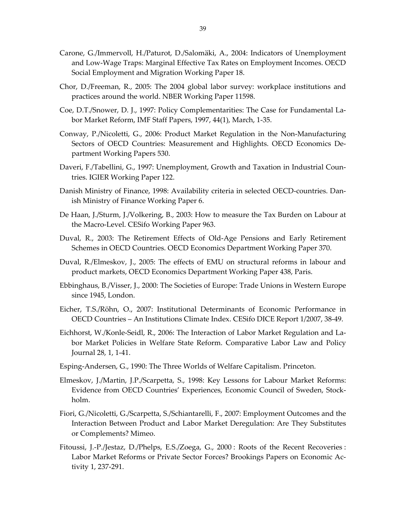- Carone, G./Immervoll, H./Paturot, D./Salomäki, A., 2004: Indicators of Unemployment and Low‐Wage Traps: Marginal Effective Tax Rates on Employment Incomes. OECD Social Employment and Migration Working Paper 18.
- Chor, D./Freeman, R., 2005: The 2004 global labor survey: workplace institutions and practices around the world. NBER Working Paper 11598.
- Coe, D.T./Snower, D. J., 1997: Policy Complementarities: The Case for Fundamental La‐ bor Market Reform, IMF Staff Papers, 1997, 44(1), March, 1‐35.
- Conway, P./Nicoletti, G., 2006: Product Market Regulation in the Non‐Manufacturing Sectors of OECD Countries: Measurement and Highlights. OECD Economics De‐ partment Working Papers 530.
- Daveri, F./Tabellini, G., 1997: Unemployment, Growth and Taxation in Industrial Coun‐ tries. IGIER Working Paper 122.
- Danish Ministry of Finance, 1998: Availability criteria in selected OECD‐countries. Dan‐ ish Ministry of Finance Working Paper 6.
- De Haan, J./Sturm, J./Volkering, B., 2003: How to measure the Tax Burden on Labour at the Macro‐Level. CESifo Working Paper 963.
- Duval, R., 2003: The Retirement Effects of Old‐Age Pensions and Early Retirement Schemes in OECD Countries. OECD Economics Department Working Paper 370.
- Duval, R./Elmeskov, J., 2005: The effects of EMU on structural reforms in labour and product markets, OECD Economics Department Working Paper 438, Paris.
- Ebbinghaus, B./Visser, J., 2000: The Societies of Europe: Trade Unions in Western Europe since 1945, London.
- Eicher, T.S./Röhn, O., 2007: Institutional Determinants of Economic Performance in OECD Countries – An Institutions Climate Index. CESifo DICE Report 1/2007, 38‐49.
- Eichhorst, W./Konle‐Seidl, R., 2006: The Interaction of Labor Market Regulation and La‐ bor Market Policies in Welfare State Reform. Comparative Labor Law and Policy Journal 28, 1, 1‐41.
- Esping‐Andersen, G., 1990: The Three Worlds of Welfare Capitalism. Princeton.
- Elmeskov, J./Martin, J.P./Scarpetta, S., 1998: Key Lessons for Labour Market Reforms: Evidence from OECD Countries' Experiences, Economic Council of Sweden, Stock‐ holm.
- Fiori, G./Nicoletti, G./Scarpetta, S./Schiantarelli, F., 2007: [Employment](http://www.iza.org/conference_files/MeLaMa_2007/fiori_g3544.pdf) Outcomes and the Interaction Between Product and Labor Market [Deregulation:](http://www.iza.org/conference_files/MeLaMa_2007/fiori_g3544.pdf) Are They Substitutes or [Complements?](http://www.iza.org/conference_files/MeLaMa_2007/fiori_g3544.pdf) Mimeo.
- Fitoussi, J.‐P./Jestaz, D./Phelps, E.S./Zoega, G., 2000 : Roots of the Recent Recoveries : Labor Market Reforms or Private Sector Forces? Brookings Papers on Economic Ac‐ tivity 1, 237‐291.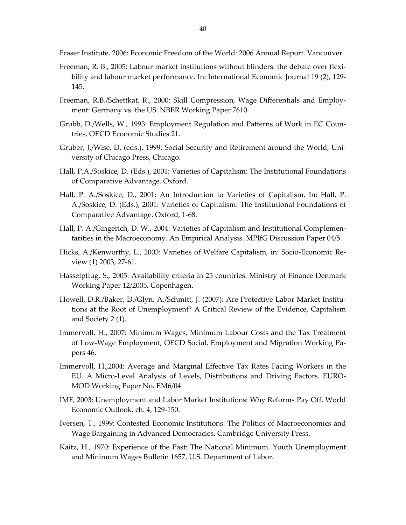Fraser Institute, 2006: Economic Freedom of the World: 2006 Annual Report. Vancouver.

- Freeman, R. B., 2005: Labour market institutions without blinders: the debate over flexi‐ bility and labour market performance. In: International Economic Journal 19 (2), 129‐ 145.
- Freeman, R.B./Schettkat, R., 2000: Skill Compression, Wage Differentials and Employ‐ ment: Germany vs. the US. NBER Working Paper 7610.
- Grubb, D./Wells, W., 1993: Employment Regulation and Patterns of Work in EC Coun‐ tries, OECD Economic Studies 21.
- Gruber, J./Wise, D. (eds.), 1999: Social Security and Retirement around the World, Uni‐ versity of Chicago Press, Chicago.
- Hall, P.A./Soskice, D. (Eds.), 2001: Varieties of Capitalism: The Institutional Foundations of Comparative Advantage. Oxford.
- Hall, P. A./Soskice, D., 2001: An Introduction to Varieties of Capitalism. In: Hall, P. A./Soskice, D. (Eds.), 2001: Varieties of Capitalism: The Institutional Foundations of Comparative Advantage. Oxford, 1‐68.
- Hall, P. A./Gingerich, D. W., 2004: Varieties of Capitalism and Institutional Complemen‐ tarities in the Macroeconomy. An Empirical Analysis. MPIfG Discussion Paper 04/5.
- Hicks, A./Kenworthy, L., 2003: Varieties of Welfare Capitalism, in: Socio‐Economic Re‐ view (1) 2003, 27-61.
- Hasselpflug, S., 2005: Availability criteria in 25 countries. Ministry of Finance Denmark Working Paper 12/2005. Copenhagen.
- Howell, D.R./Baker, D./Glyn, A./Schmitt, J. (2007): Are Protective Labor Market Institu‐ tions at the Root of Unemployment? A Critical Review of the Evidence, Capitalism and Society 2 (1).
- Immervoll, H., 2007: Minimum Wages, Minimum Labour Costs and the Tax Treatment of Low‐Wage Employment, OECD Social, Employment and Migration Working Pa‐ pers 46.
- Immervoll, H.,2004: Average and Marginal Effective Tax Rates Facing Workers in the EU. A Micro‐Level Analysis of Levels, Distributions and Driving Factors. EURO‐ MOD Working Paper No. EM6/04
- IMF, 2003: Unemployment and Labor Market Institutions: Why Reforms Pay Off, World Economic Outlook, ch. 4, 129‐150.
- Iversen, T., 1999: Contested Economic Institutions: The Politics of Macroeconomics and Wage Bargaining in Advanced Democracies. Cambridge University Press.
- Kaitz, H., 1970: Experience of the Past: The National Minimum. Youth Unemployment and Minimum Wages Bulletin 1657, U.S. Department of Labor.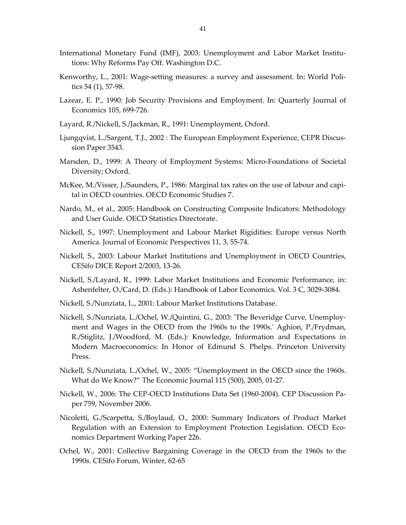- International Monetary Fund (IMF), 2003: Unemployment and Labor Market Institu‐ tions: Why Reforms Pay Off. Washington D.C.
- Kenworthy, L., 2001: Wage-setting measures: a survey and assessment. In: World Politics 54 (1), 57‐98.
- Lazear, E. P., 1990: Job Security Provisions and Employment. In: Quarterly Journal of Economics 105, 699‐726.
- Layard, R./Nickell, S./Jackman, R., 1991: Unemployment, Oxford.
- Ljungqvist, L./Sargent, T.J., 2002 : The European Employment Experience, CEPR Discus‐ sion Paper 3543.
- Marsden, D., 1999: A Theory of Employment Systems: Micro‐Foundations of Societal Diversity; Oxford.
- McKee, M./Visser, J./Saunders, P., 1986: Marginal tax rates on the use of labour and capital in OECD countries. OECD Economic Studies 7.
- Nardo, M., et al., 2005: Handbook on Constructing Composite Indicators: Methodology and User Guide. OECD Statistics Directorate.
- Nickell, S., 1997: Unemployment and Labour Market Rigidities: Europe versus North America. Journal of Economic Perspectives 11, 3, 55‐74.
- Nickell, S., 2003: Labour Market Institutions and Unemployment in OECD Countries, CESifo DICE Report 2/2003, 13‐26.
- Nickell, S./Layard, R., 1999: Labor Market Institutions and Economic Performance, in: Ashenfelter, O./Card, D. (Eds.): Handbook of Labor Economics. Vol. 3 C, 3029‐3084.
- Nickell, S./Nunziata, L., 2001: Labour Market Institutions Database.
- Nickell, S./Nunziata, L./Ochel, W./Quintini, G., 2003: ʹThe Beveridge Curve, Unemploy‐ ment and Wages in the OECD from the 1960s to the 1990s.ʹ Aghion, P./Frydman, R./Stiglitz, J./Woodford, M. (Eds.): Knowledge, Information and Expectations in Modern Macroeconomics: In Honor of Edmund S. Phelps. Princeton University Press.
- Nickell, S./Nunziata, L./Ochel, W., 2005: "Unemployment in the OECD since the 1960s. What do We Know?" The Economic Journal 115 (500), 2005, 01‐27.
- Nickell, W., 2006: The CEP‐OECD Institutions Data Set (1960‐2004). CEP Discussion Pa‐ per 759, November 2006.
- Nicoletti, G./Scarpetta, S./Boylaud, O., 2000: Summary Indicators of Product Market Regulation with an Extension to Employment Protection Legislation. OECD Eco‐ nomics Department Working Paper 226.
- Ochel, W., 2001: Collective Bargaining Coverage in the OECD from the 1960s to the 1990s. CESifo Forum, Winter, 62‐65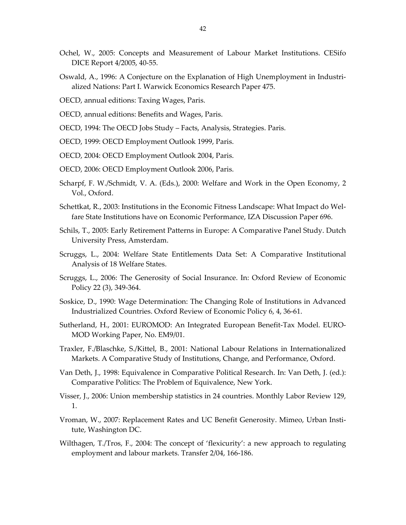- Ochel, W., 2005: Concepts and Measurement of Labour Market Institutions. CESifo DICE Report 4/2005, 40‐55.
- Oswald, A., 1996: A Conjecture on the Explanation of High Unemployment in Industri‐ alized Nations: Part I. Warwick Economics Research Paper 475.
- OECD, annual editions: Taxing Wages, Paris.
- OECD, annual editions: Benefits and Wages, Paris.
- OECD, 1994: The OECD Jobs Study Facts, Analysis, Strategies. Paris.
- OECD, 1999: OECD Employment Outlook 1999, Paris.
- OECD, 2004: OECD Employment Outlook 2004, Paris.
- OECD, 2006: OECD Employment Outlook 2006, Paris.
- Scharpf, F. W./Schmidt, V. A. (Eds.), 2000: Welfare and Work in the Open Economy, 2 Vol., Oxford.
- Schettkat, R., 2003: Institutions in the Economic Fitness Landscape: What Impact do Wel‐ fare State Institutions have on Economic Performance, IZA Discussion Paper 696.
- Schils, T., 2005: Early Retirement Patterns in Europe: A Comparative Panel Study. Dutch University Press, Amsterdam.
- Scruggs, L., 2004: Welfare State Entitlements Data Set: A Comparative Institutional Analysis of 18 Welfare States.
- Scruggs, L., 2006: The Generosity of Social Insurance. In: Oxford Review of Economic Policy 22 (3), 349‐364.
- Soskice, D., 1990: Wage Determination: The Changing Role of Institutions in Advanced Industrialized Countries. Oxford Review of Economic Policy 6, 4, 36‐61.
- Sutherland, H., 2001: EUROMOD: An Integrated European Benefit‐Tax Model. EURO‐ MOD Working Paper, No. EM9/01.
- Traxler, F./Blaschke, S./Kittel, B., 2001: National Labour Relations in Internationalized Markets. A Comparative Study of Institutions, Change, and Performance, Oxford.
- Van Deth, J., 1998: Equivalence in Comparative Political Research. In: Van Deth, J. (ed.): Comparative Politics: The Problem of Equivalence, New York.
- Visser, J., 2006: Union membership statistics in 24 countries. Monthly Labor Review 129, 1.
- Vroman, W., 2007: Replacement Rates and UC Benefit Generosity. Mimeo, Urban Insti‐ tute, Washington DC.
- Wilthagen, T./Tros, F., 2004: The concept of 'flexicurity': a new approach to regulating employment and labour markets. Transfer 2/04, 166‐186.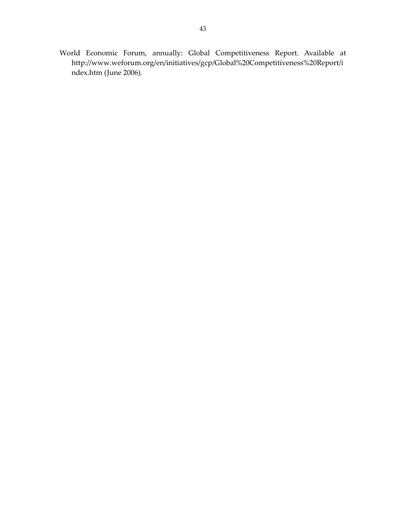World Economic Forum, annually: Global Competitiveness Report. Available at [http://www.weforum.org/en/initiatives/gcp/Global%20Competitiveness%20Report/i](http://www.weforum.org/en/initiatives/gcp/Global%20Competitiveness%20Report/index.htm) [ndex.htm](http://www.weforum.org/en/initiatives/gcp/Global%20Competitiveness%20Report/index.htm) (June 2006).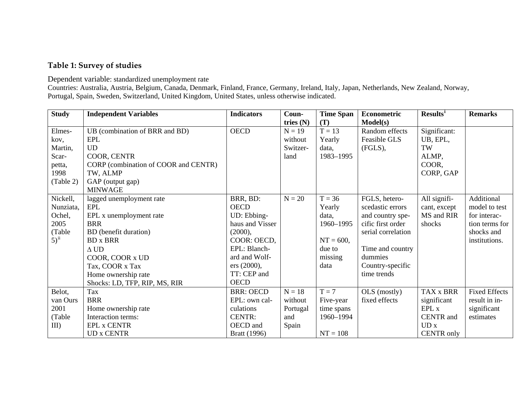#### **Table 1: Survey of studies**

Dependent variable: standardized unemployment rate

Countries: Australia, Austria, Belgium, Canada, Denmark, Finland, France, Germany, Ireland, Italy, Japan, Netherlands, New Zealand, Norway, Portugal, Spain, Sweden, Switzerland, United Kingdom, United States, unless otherwise indicated.

| <b>Study</b> | <b>Independent Variables</b>         | <b>Indicators</b> | Coun-       | <b>Time Span</b> | Econometric        | Results <sup>i</sup> | <b>Remarks</b>       |
|--------------|--------------------------------------|-------------------|-------------|------------------|--------------------|----------------------|----------------------|
|              |                                      |                   | tries $(N)$ | (T)              | Model(s)           |                      |                      |
| Elmes-       | UB (combination of BRR and BD)       | <b>OECD</b>       | $N = 19$    | $T = 13$         | Random effects     | Significant:         |                      |
| kov,         | <b>EPL</b>                           |                   | without     | Yearly           | Feasible GLS       | UB, EPL,             |                      |
| Martin,      | <b>UD</b>                            |                   | Switzer-    | data,            | (FGLS),            | TW                   |                      |
| Scar-        | COOR, CENTR                          |                   | land        | 1983-1995        |                    | ALMP,                |                      |
| petta,       | CORP (combination of COOR and CENTR) |                   |             |                  |                    | COOR,                |                      |
| 1998         | TW, ALMP                             |                   |             |                  |                    | CORP, GAP            |                      |
| (Table 2)    | GAP (output gap)                     |                   |             |                  |                    |                      |                      |
|              | <b>MINWAGE</b>                       |                   |             |                  |                    |                      |                      |
| Nickell,     | lagged unemployment rate             | BRR, BD:          | $N = 20$    | $T = 36$         | FGLS, hetero-      | All signifi-         | Additional           |
| Nunziata,    | EPL                                  | <b>OECD</b>       |             | Yearly           | scedastic errors   | cant, except         | model to test        |
| Ochel,       | EPL x unemployment rate              | UD: Ebbing-       |             | data,            | and country spe-   | MS and RIR           | for interac-         |
| 2005         | <b>BRR</b>                           | haus and Visser   |             | 1960-1995        | cific first order  | shocks               | tion terms for       |
| (Table       | BD (benefit duration)                | (2000),           |             |                  | serial correlation |                      | shocks and           |
| $5)^{ii}$    | <b>BD</b> x <b>BRR</b>               | COOR: OECD,       |             | $NT = 600,$      |                    |                      | institutions.        |
|              | $\Delta$ UD                          | EPL: Blanch-      |             | due to           | Time and country   |                      |                      |
|              | COOR, COOR x UD                      | ard and Wolf-     |             | missing          | dummies            |                      |                      |
|              | Tax, COOR x Tax                      | ers (2000),       |             | data             | Country-specific   |                      |                      |
|              | Home ownership rate                  | TT: CEP and       |             |                  | time trends        |                      |                      |
|              | Shocks: LD, TFP, RIP, MS, RIR        | <b>OECD</b>       |             |                  |                    |                      |                      |
| Belot,       | Tax                                  | <b>BRR: OECD</b>  | $N = 18$    | $T = 7$          | OLS (mostly)       | TAX x BRR            | <b>Fixed Effects</b> |
| van Ours     | <b>BRR</b>                           | EPL: own cal-     | without     | Five-year        | fixed effects      | significant          | result in in-        |
| 2001         | Home ownership rate                  | culations         | Portugal    | time spans       |                    | EPL x                | significant          |
| (Table       | Interaction terms:                   | <b>CENTR:</b>     | and         | 1960-1994        |                    | CENTR and            | estimates            |
| $III$ )      | <b>EPL x CENTR</b>                   | OECD and          | Spain       |                  |                    | UDx                  |                      |
|              | <b>UD x CENTR</b>                    | Bratt (1996)      |             | $NT = 108$       |                    | <b>CENTR</b> only    |                      |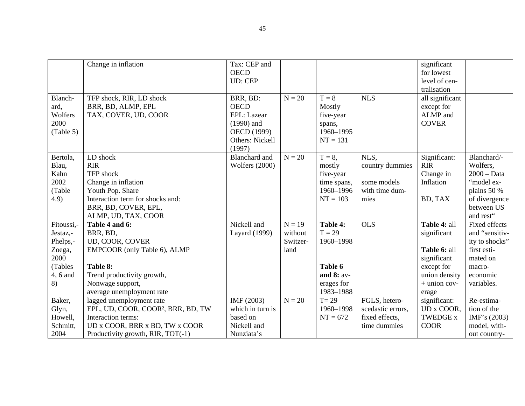|            | Change in inflation                            | Tax: CEP and          |          |              |                   | significant     |                      |
|------------|------------------------------------------------|-----------------------|----------|--------------|-------------------|-----------------|----------------------|
|            |                                                | <b>OECD</b>           |          |              |                   | for lowest      |                      |
|            |                                                | <b>UD: CEP</b>        |          |              |                   | level of cen-   |                      |
|            |                                                |                       |          |              |                   | tralisation     |                      |
| Blanch-    | TFP shock, RIR, LD shock                       | BRR, BD:              | $N = 20$ | $T = 8$      | <b>NLS</b>        | all significant |                      |
| ard,       | BRR, BD, ALMP, EPL                             | <b>OECD</b>           |          | Mostly       |                   | except for      |                      |
| Wolfers    | TAX, COVER, UD, COOR                           | EPL: Lazear           |          | five-year    |                   | ALMP and        |                      |
| 2000       |                                                | $(1990)$ and          |          | spans,       |                   | <b>COVER</b>    |                      |
| (Table 5)  |                                                | OECD (1999)           |          | 1960-1995    |                   |                 |                      |
|            |                                                | Others: Nickell       |          | $NT = 131$   |                   |                 |                      |
|            |                                                | (1997)                |          |              |                   |                 |                      |
| Bertola,   | LD shock                                       | <b>Blanchard</b> and  | $N = 20$ | $T = 8$ ,    | NLS,              | Significant:    | Blanchard/-          |
| Blau,      | <b>RIR</b>                                     | <b>Wolfers (2000)</b> |          | mostly       | country dummies   | <b>RIR</b>      | Wolfers,             |
| Kahn       | TFP shock                                      |                       |          | five-year    |                   | Change in       | $2000 - Data$        |
| 2002       | Change in inflation                            |                       |          | time spans,  | some models       | Inflation       | "model ex-           |
| (Table     | Youth Pop. Share                               |                       |          | 1960-1996    | with time dum-    |                 | plains 50 %          |
| 4.9)       | Interaction term for shocks and:               |                       |          | $NT = 103$   | mies              | BD, TAX         | of divergence        |
|            | BRR, BD, COVER, EPL,                           |                       |          |              |                   |                 | between US           |
|            | ALMP, UD, TAX, COOR                            |                       |          |              |                   |                 | and rest"            |
| Fitoussi,- | Table 4 and 6:                                 | Nickell and           | $N = 19$ | Table 4:     | <b>OLS</b>        | Table 4: all    | <b>Fixed effects</b> |
| Jestaz,-   | BRR, BD,                                       | Layard (1999)         | without  | $T = 29$     |                   | significant     | and "sensitiv-       |
| Phelps,-   | UD, COOR, COVER                                |                       | Switzer- | 1960-1998    |                   |                 | ity to shocks"       |
| Zoega,     | EMPCOOR (only Table 6), ALMP                   |                       | land     |              |                   | Table 6: all    | first esti-          |
| 2000       |                                                |                       |          |              |                   | significant     | mated on             |
| (Tables    | Table 8:                                       |                       |          | Table 6      |                   | except for      | macro-               |
| 4, 6 and   | Trend productivity growth,                     |                       |          | and $8:$ av- |                   | union density   | economic             |
| 8)         | Nonwage support,                               |                       |          | erages for   |                   | $+$ union cov-  | variables.           |
|            | average unemployment rate                      |                       |          | 1983-1988    |                   | erage           |                      |
| Baker,     | lagged unemployment rate                       | IMF (2003)            | $N = 20$ | $T = 29$     | FGLS, hetero-     | significant:    | Re-estima-           |
| Glyn,      | EPL, UD, COOR, COOR <sup>2</sup> , BRR, BD, TW | which in turn is      |          | 1960-1998    | scedastic errors, | UD x COOR,      | tion of the          |
| Howell,    | Interaction terms:                             | based on              |          | $NT = 672$   | fixed effects,    | <b>TWEDGE x</b> | IMF's $(2003)$       |
| Schmitt,   | UD x COOR, BRR x BD, TW x COOR                 | Nickell and           |          |              | time dummies      | <b>COOR</b>     | model, with-         |
| 2004       | Productivity growth, RIR, TOT(-1)              | Nunziata's            |          |              |                   |                 | out country-         |